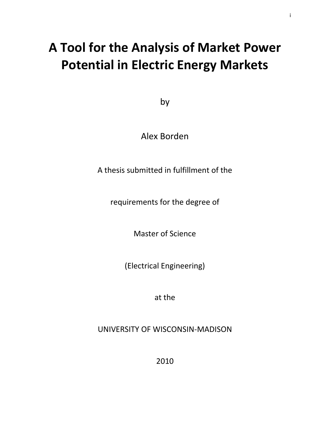# **A Tool for the Analysis of Market Power Potential in Electric Energy Markets**

i

by

Alex Borden

A thesis submitted in fulfillment of the

requirements for the degree of

Master of Science

(Electrical Engineering)

at the

UNIVERSITY OF WISCONSIN-MADISON

2010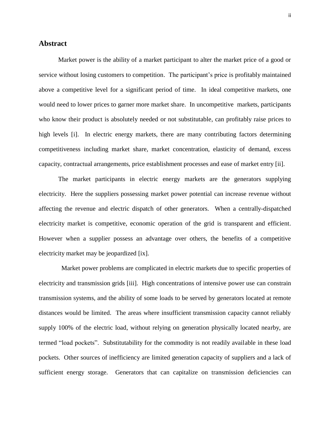#### <span id="page-1-0"></span>**Abstract**

Market power is the ability of a market participant to alter the market price of a good or service without losing customers to competition. The participant's price is profitably maintained above a competitive level for a significant period of time. In ideal competitive markets, one would need to lower prices to garner more market share. In uncompetitive markets, participants who know their product is absolutely needed or not substitutable, can profitably raise prices to high levels [i]. In electric energy markets, there are many contributing factors determining competitiveness including market share, market concentration, elasticity of demand, excess capacity, contractual arrangements, price establishment processes and ease of market entry [ii].

The market participants in electric energy markets are the generators supplying electricity. Here the suppliers possessing market power potential can increase revenue without affecting the revenue and electric dispatch of other generators. When a centrally-dispatched electricity market is competitive, economic operation of the grid is transparent and efficient. However when a supplier possess an advantage over others, the benefits of a competitive electricity market may be jeopardized [\[ix\]](#page-13-0).

 Market power problems are complicated in electric markets due to specific properties of electricity and transmission grids [iii]. High concentrations of intensive power use can constrain transmission systems, and the ability of some loads to be served by generators located at remote distances would be limited. The areas where insufficient transmission capacity cannot reliably supply 100% of the electric load, without relying on generation physically located nearby, are termed "load pockets". Substitutability for the commodity is not readily available in these load pockets. Other sources of inefficiency are limited generation capacity of suppliers and a lack of sufficient energy storage. Generators that can capitalize on transmission deficiencies can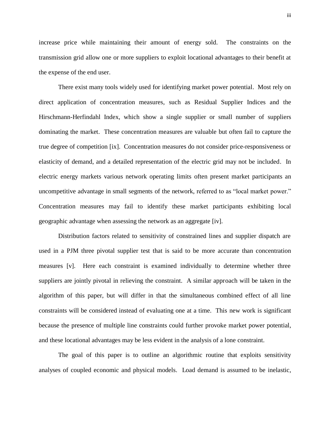increase price while maintaining their amount of energy sold. The constraints on the transmission grid allow one or more suppliers to exploit locational advantages to their benefit at the expense of the end user.

There exist many tools widely used for identifying market power potential. Most rely on direct application of concentration measures, such as Residual Supplier Indices and the Hirschmann-Herfindahl Index, which show a single supplier or small number of suppliers dominating the market. These concentration measures are valuable but often fail to capture the true degree of competition [\[ix\]](#page-13-0). Concentration measures do not consider price-responsiveness or elasticity of demand, and a detailed representation of the electric grid may not be included. In electric energy markets various network operating limits often present market participants an uncompetitive advantage in small segments of the network, referred to as "local market power." Concentration measures may fail to identify these market participants exhibiting local geographic advantage when assessing the network as an aggregate [iv].

Distribution factors related to sensitivity of constrained lines and supplier dispatch are used in a PJM three pivotal supplier test that is said to be more accurate than concentration measures [v]. Here each constraint is examined individually to determine whether three suppliers are jointly pivotal in relieving the constraint. A similar approach will be taken in the algorithm of this paper, but will differ in that the simultaneous combined effect of all line constraints will be considered instead of evaluating one at a time. This new work is significant because the presence of multiple line constraints could further provoke market power potential, and these locational advantages may be less evident in the analysis of a lone constraint.

The goal of this paper is to outline an algorithmic routine that exploits sensitivity analyses of coupled economic and physical models. Load demand is assumed to be inelastic,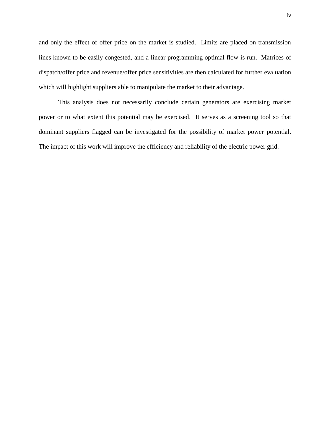and only the effect of offer price on the market is studied. Limits are placed on transmission lines known to be easily congested, and a linear programming optimal flow is run. Matrices of dispatch/offer price and revenue/offer price sensitivities are then calculated for further evaluation which will highlight suppliers able to manipulate the market to their advantage.

This analysis does not necessarily conclude certain generators are exercising market power or to what extent this potential may be exercised. It serves as a screening tool so that dominant suppliers flagged can be investigated for the possibility of market power potential. The impact of this work will improve the efficiency and reliability of the electric power grid.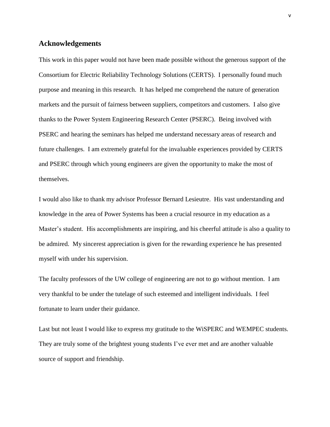#### <span id="page-4-0"></span>**Acknowledgements**

This work in this paper would not have been made possible without the generous support of the Consortium for Electric Reliability Technology Solutions (CERTS). I personally found much purpose and meaning in this research. It has helped me comprehend the nature of generation markets and the pursuit of fairness between suppliers, competitors and customers. I also give thanks to the Power System Engineering Research Center (PSERC). Being involved with PSERC and hearing the seminars has helped me understand necessary areas of research and future challenges. I am extremely grateful for the invaluable experiences provided by CERTS and PSERC through which young engineers are given the opportunity to make the most of themselves.

I would also like to thank my advisor Professor Bernard Lesieutre. His vast understanding and knowledge in the area of Power Systems has been a crucial resource in my education as a Master's student. His accomplishments are inspiring, and his cheerful attitude is also a quality to be admired. My sincerest appreciation is given for the rewarding experience he has presented myself with under his supervision.

The faculty professors of the UW college of engineering are not to go without mention. I am very thankful to be under the tutelage of such esteemed and intelligent individuals. I feel fortunate to learn under their guidance.

Last but not least I would like to express my gratitude to the WiSPERC and WEMPEC students. They are truly some of the brightest young students I've ever met and are another valuable source of support and friendship.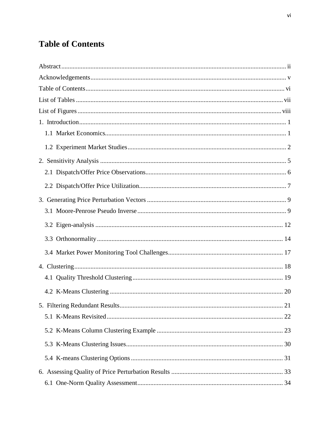# <span id="page-5-0"></span>**Table of Contents**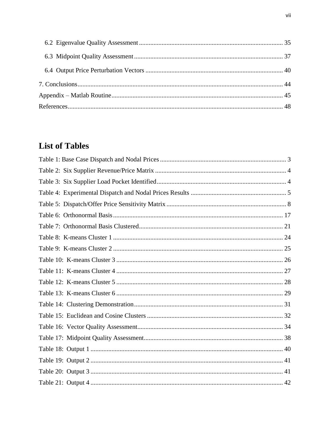# <span id="page-6-0"></span>**List of Tables**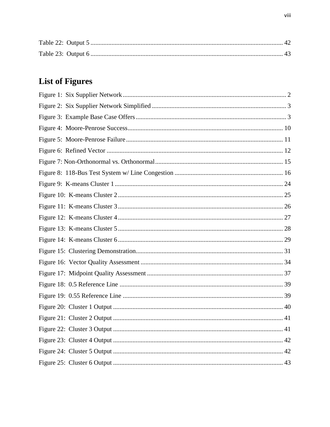# <span id="page-7-0"></span>**List of Figures**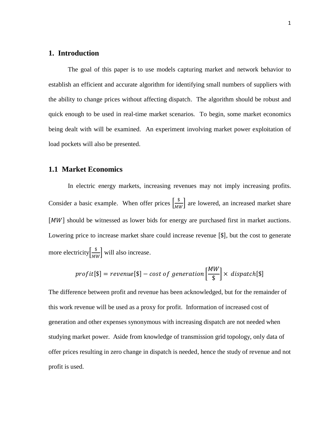#### <span id="page-8-0"></span>**1. Introduction**

The goal of this paper is to use models capturing market and network behavior to establish an efficient and accurate algorithm for identifying small numbers of suppliers with the ability to change prices without affecting dispatch. The algorithm should be robust and quick enough to be used in real-time market scenarios. To begin, some market economics being dealt with will be examined. An experiment involving market power exploitation of load pockets will also be presented.

#### <span id="page-8-1"></span>**1.1 Market Economics**

In electric energy markets, increasing revenues may not imply increasing profits. Consider a basic example. When offer prices  $\frac{\$}{\}$  $\frac{a}{b}$  are lowered, an increased market share  $[MW]$  should be witnessed as lower bids for energy are purchased first in market auctions. Lowering price to increase market share could increase revenue  $[\$]$ , but the cost to generate more electricity  $\frac{\$}{\$}$  $\frac{\infty}{MW}$  will also increase.

$$
profit[\$] = revenue[\$] - cost \ of \ generation\Big[\frac{MW}{\$}\Big] \times \ dispatch[\$]
$$

The difference between profit and revenue has been acknowledged, but for the remainder of this work revenue will be used as a proxy for profit. Information of increased cost of generation and other expenses synonymous with increasing dispatch are not needed when studying market power. Aside from knowledge of transmission grid topology, only data of offer prices resulting in zero change in dispatch is needed, hence the study of revenue and not profit is used.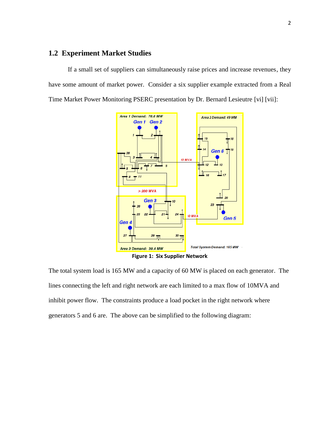# <span id="page-9-0"></span>**1.2 Experiment Market Studies**

If a small set of suppliers can simultaneously raise prices and increase revenues, they have some amount of market power. Consider a six supplier example extracted from a Real Time Market Power Monitoring PSERC presentation by Dr. Bernard Lesieutre [vi] [vii]:



<span id="page-9-1"></span>The total system load is 165 MW and a capacity of 60 MW is placed on each generator. The lines connecting the left and right network are each limited to a max flow of 10MVA and inhibit power flow. The constraints produce a load pocket in the right network where generators 5 and 6 are. The above can be simplified to the following diagram: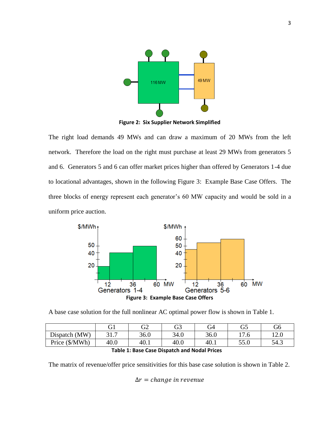

**Figure 2: Six Supplier Network Simplified**

<span id="page-10-1"></span>The right load demands 49 MWs and can draw a maximum of 20 MWs from the left network. Therefore the load on the right must purchase at least 29 MWs from generators 5 and 6. Generators 5 and 6 can offer market prices higher than offered by Generators 1-4 due to locational advantages, shown in the following [Figure 3: Example Base Case Offers.](#page-10-2) The three blocks of energy represent each generator's 60 MW capacity and would be sold in a uniform price auction.



<span id="page-10-2"></span>A base case solution for the full nonlinear AC optimal power flow is shown in [Table 1.](#page-10-0)

|                |                 | G2   | G3   | G4   | G5                             | G6             |
|----------------|-----------------|------|------|------|--------------------------------|----------------|
| Dispatch (MW)  | 21 J<br>J I . I | 36.0 | 34.0 | 36.0 | $\sqrt{ }$<br>$\overline{1}$ . | 1 ^ ປີ<br>12.U |
| Price (\$/MWh) | 40.0            | 40.1 | 40.0 | 40.1 | 55.0                           | 54.3           |

<span id="page-10-0"></span>The matrix of revenue/offer price sensitivities for this base case solution is shown in [Table 2.](#page-11-0)

$$
\Delta r = change in revenue
$$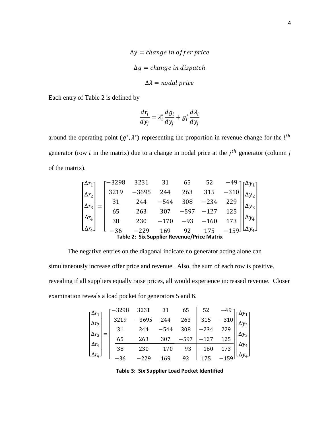$$
\Delta y = change in offer price
$$
  

$$
\Delta g = change in dispatch
$$
  

$$
\Delta \lambda = nodal price
$$

Each entry of [Table 2](#page-11-0) is defined by

$$
\frac{dr_i}{dy_j} = \lambda_i^* \frac{dg_i}{dy_j} + g_i^* \frac{d\lambda_i}{dy_j}
$$

around the operating point  $(g^*, \lambda^*)$  representing the proportion in revenue change for the  $i^{th}$ generator (row *i* in the matrix) due to a change in nodal price at the  $j<sup>th</sup>$  generator (column *j* of the matrix).

$$
\begin{bmatrix}\n\Delta r_1 \\
\Delta r_2 \\
\Delta r_3 \\
\Delta r_4\n\end{bmatrix} = \begin{bmatrix}\n-3298 & 3231 & 31 & 65 & 52 & -49 \\
3219 & -3695 & 244 & 263 & 315 & -310 \\
31 & 244 & -544 & 308 & -234 & 229 \\
65 & 263 & 307 & -597 & -127 & 125 \\
38 & 230 & -170 & -93 & -160 & 173 \\
-36 & -229 & 169 & 92 & 175 & -159\n\end{bmatrix}\n\begin{bmatrix}\n\Delta y_1 \\
\Delta y_2 \\
\Delta y_3 \\
\Delta y_4 \\
\Delta y_4\n\end{bmatrix}
$$
\nTable 2: Six Supplementary Price Matrix

<span id="page-11-0"></span>The negative entries on the diagonal indicate no generator acting alone can

simultaneously increase offer price and revenue. Also, the sum of each row is positive, revealing if all suppliers equally raise prices, all would experience increased revenue. Closer examination reveals a load pocket for generators 5 and 6.

| $\Gamma \Delta r_1$          | -3298 | 3231    | 31     | 65    | 52     |         |                  |
|------------------------------|-------|---------|--------|-------|--------|---------|------------------|
| $\Delta r_2$                 | 3219  | $-3695$ | 244    | 263   | 315    | $-310$  |                  |
|                              |       | 244     | $-544$ | 308   | -234   | 229     |                  |
|                              | 65    | 263     | 307    | -597  | $-127$ |         |                  |
| $\Delta r_4$                 | 38    | 230     |        | $-93$ | $-160$ | 173     |                  |
| $\lfloor \Delta r_4 \rfloor$ |       |         | 169    | 92    |        | $-159.$ | L $\Delta y_4$ J |

<span id="page-11-1"></span>**Table 3: Six Supplier Load Pocket Identified**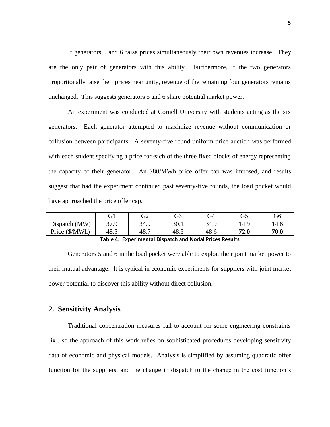If generators 5 and 6 raise prices simultaneously their own revenues increase. They are the only pair of generators with this ability. Furthermore, if the two generators proportionally raise their prices near unity, revenue of the remaining four generators remains unchanged. This suggests generators 5 and 6 share potential market power.

An experiment was conducted at Cornell University with students acting as the six generators. Each generator attempted to maximize revenue without communication or collusion between participants. A seventy-five round uniform price auction was performed with each student specifying a price for each of the three fixed blocks of energy representing the capacity of their generator. An \$80/MWh price offer cap was imposed, and results suggest that had the experiment continued past seventy-five rounds, the load pocket would have approached the price offer cap.

|                         | $\sim$ 1<br>UΙ | G2   | G3   | G4   | G5   | G6   |
|-------------------------|----------------|------|------|------|------|------|
| $Dispatch$ (MW)         | 27 Q<br>ر ، ر  | 34.9 | 30.1 | 34.9 | 14.9 | 14.6 |
| Price $(\frac{S}{MWh})$ | 48.5           | 48.7 | 48.5 | 48.6 | 72.0 | 70.0 |

**Table 4: Experimental Dispatch and Nodal Prices Results**

<span id="page-12-1"></span>Generators 5 and 6 in the load pocket were able to exploit their joint market power to their mutual advantage. It is typical in economic experiments for suppliers with joint market power potential to discover this ability without direct collusion.

#### <span id="page-12-0"></span>**2. Sensitivity Analysis**

Traditional concentration measures fail to account for some engineering constraints [\[ix\]](#page-13-0), so the approach of this work relies on sophisticated procedures developing sensitivity data of economic and physical models. Analysis is simplified by assuming quadratic offer function for the suppliers, and the change in dispatch to the change in the cost function's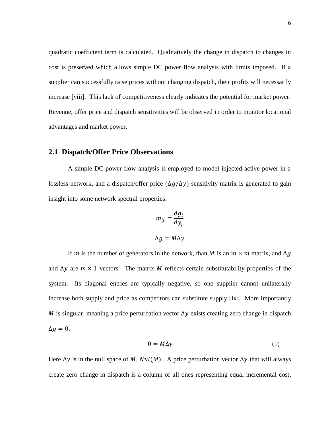quadratic coefficient term is calculated. Qualitatively the change in dispatch to changes in cost is preserved which allows simple DC power flow analysis with limits imposed. If a supplier can successfully raise prices without changing dispatch, their profits will necessarily increase [viii]. This lack of competitiveness clearly indicates the potential for market power. Revenue, offer price and dispatch sensitivities will be observed in order to monitor locational advantages and market power.

# <span id="page-13-1"></span>**2.1 Dispatch/Offer Price Observations**

A simple DC power flow analysis is employed to model injected active power in a lossless network, and a dispatch/offer price  $(\Delta g/\Delta y)$  sensitivity matrix is generated to gain insight into some network spectral properties.

$$
m_{ij} = \frac{\partial g_i}{\partial y_j}
$$

$$
\Delta g = M \Delta y
$$

If m is the number of generators in the network, than M is an  $m \times m$  matrix, and  $\Delta q$ and  $\Delta y$  are  $m \times 1$  vectors. The matrix M reflects certain substitutability properties of the system. Its diagonal entries are typically negative, so one supplier cannot unilaterally increase both supply and price as competitors can substitute supply [ix]. More importantly M is singular, meaning a price perturbation vector  $\Delta y$  exists creating zero change in dispatch  $\Delta g = 0$ .

<span id="page-13-0"></span>
$$
0 = M\Delta y \tag{1}
$$

Here  $\Delta y$  is in the null space of M,  $Nul(M)$ . A price perturbation vector  $\Delta y$  that will always create zero change in dispatch is a column of all ones representing equal incremental cost.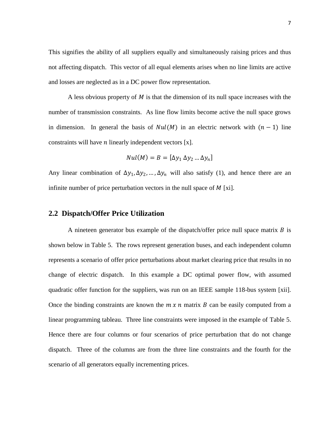This signifies the ability of all suppliers equally and simultaneously raising prices and thus not affecting dispatch. This vector of all equal elements arises when no line limits are active and losses are neglected as in a DC power flow representation.

A less obvious property of  $M$  is that the dimension of its null space increases with the number of transmission constraints. As line flow limits become active the null space grows in dimension. In general the basis of  $Nul(M)$  in an electric network with  $(n - 1)$  line constraints will have  $n$  linearly independent vectors  $[x]$ .

<span id="page-14-2"></span><span id="page-14-1"></span>
$$
Nul(M) = B = [\Delta y_1 \, \Delta y_2 \, ... \, \Delta y_n]
$$

Any linear combination of  $\Delta y_1, \Delta y_2, ..., \Delta y_n$  will also satisfy (1), and hence there are an infinite number of price perturbation vectors in the null space of  $M$  [xi].

#### <span id="page-14-0"></span>**2.2 Dispatch/Offer Price Utilization**

A nineteen generator bus example of the dispatch/offer price null space matrix  $B$  is shown below in [Table 5.](#page-15-0) The rows represent generation buses, and each independent column represents a scenario of offer price perturbations about market clearing price that results in no change of electric dispatch. In this example a DC optimal power flow, with assumed quadratic offer function for the suppliers, was run on an IEEE sample 118-bus system [xii]. Once the binding constraints are known the  $m \times n$  matrix  $B$  can be easily computed from a linear programming tableau. Three line constraints were imposed in the example of [Table 5.](#page-15-0) Hence there are four columns or four scenarios of price perturbation that do not change dispatch. Three of the columns are from the three line constraints and the fourth for the scenario of all generators equally incrementing prices.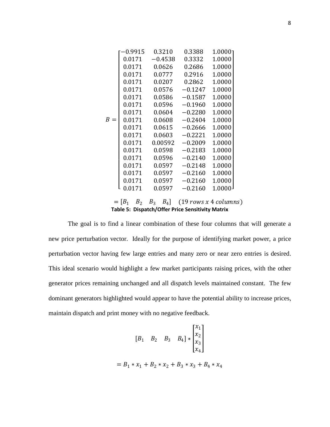|       | $-0.9915$ | 0.3210    | 0.3388    | 1.0000                                         |  |
|-------|-----------|-----------|-----------|------------------------------------------------|--|
|       | 0.0171    | $-0.4538$ | 0.3332    | 1.0000                                         |  |
|       | 0.0171    | 0.0626    | 0.2686    | 1.0000                                         |  |
|       | 0.0171    | 0.0777    | 0.2916    | 1.0000                                         |  |
|       | 0.0171    | 0.0207    | 0.2862    | 1.0000                                         |  |
|       | 0.0171    | 0.0576    | $-0.1247$ | 1.0000                                         |  |
|       | 0.0171    | 0.0586    | $-0.1587$ | 1.0000                                         |  |
|       | 0.0171    | 0.0596    | $-0.1960$ | 1.0000                                         |  |
|       | 0.0171    | 0.0604    | $-0.2280$ | 1.0000                                         |  |
| $B =$ | 0.0171    | 0.0608    | $-0.2404$ | 1.0000                                         |  |
|       | 0.0171    | 0.0615    | $-0.2666$ | 1.0000                                         |  |
|       | 0.0171    | 0.0603    | $-0.2221$ | 1.0000                                         |  |
|       | 0.0171    | 0.00592   | $-0.2009$ | 1.0000                                         |  |
|       | 0.0171    | 0.0598    | $-0.2183$ | 1.0000                                         |  |
|       | 0.0171    | 0.0596    | $-0.2140$ | 1.0000                                         |  |
|       | 0.0171    | 0.0597    | $-0.2148$ | 1.0000                                         |  |
|       | 0.0171    | 0.0597    | $-0.2160$ | 1.0000                                         |  |
|       | 0.0171    | 0.0597    | $-0.2160$ | 1.0000                                         |  |
|       | 0.0171    | 0.0597    | $-0.2160$ | 1.0000 <sup>1</sup>                            |  |
|       |           |           |           |                                                |  |
|       |           |           |           | $-\left[R, R, R, R\right]$ (19 rows x 4 column |  |

|  |  | Table 5: Dispatch/Offer Price Sensitivity Matrix |
|--|--|--------------------------------------------------|
|  |  |                                                  |
|  |  | $=[B_1 \ B_2 \ B_3 \ B_4]$ (19 rows x 4 columns) |

<span id="page-15-0"></span>The goal is to find a linear combination of these four columns that will generate a new price perturbation vector. Ideally for the purpose of identifying market power, a price perturbation vector having few large entries and many zero or near zero entries is desired. This ideal scenario would highlight a few market participants raising prices, with the other generator prices remaining unchanged and all dispatch levels maintained constant. The few dominant generators highlighted would appear to have the potential ability to increase prices, maintain dispatch and print money with no negative feedback.

$$
\begin{bmatrix} B_1 & B_2 & B_3 & B_4 \end{bmatrix} * \begin{bmatrix} x_1 \\ x_2 \\ x_3 \\ x_4 \end{bmatrix}
$$
  
=  $B_1 * x_1 + B_2 * x_2 + B_3 * x_3 + B_4 * x_4$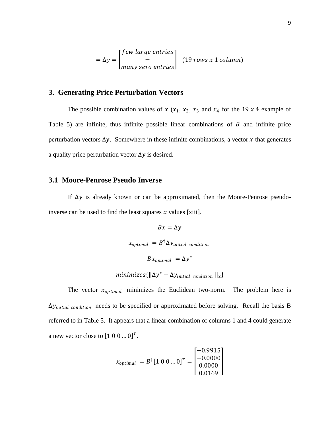$$
= \Delta y = \begin{bmatrix} few \ large \ entries \\ - \\ many \ zero \ entries \end{bmatrix} \quad (19 \ rows \ x \ 1 \ column)
$$

# <span id="page-16-0"></span>**3. Generating Price Perturbation Vectors**

The possible combination values of  $x$  ( $x_1$ ,  $x_2$ ,  $x_3$  and  $x_4$  for the 19 x 4 example of [Table 5\)](#page-15-0) are infinite, thus infinite possible linear combinations of  $B$  and infinite price perturbation vectors  $\Delta y$ . Somewhere in these infinite combinations, a vector x that generates a quality price perturbation vector  $\Delta y$  is desired.

#### <span id="page-16-1"></span>**3.1 Moore-Penrose Pseudo Inverse**

If  $\Delta y$  is already known or can be approximated, then the Moore-Penrose pseudoinverse can be used to find the least squares  $x$  values [xiii].

> $Bx = \Delta y$  $x_{optimal}$  =  $B^{\dagger} \Delta y_{initial}$  condition  $Bx_{optimal} = \Delta y^*$

$$
minimizes\{\|\Delta y^* - \Delta y_{initial\ condition}\ \|_2\}
$$

The vector  $x_{optimal}$  minimizes the Euclidean two-norm. The problem here is  $\Delta y_{initial\ conditional}$  needs to be specified or approximated before solving. Recall the basis B referred to in [Table 5.](#page-15-0) It appears that a linear combination of columns 1 and 4 could generate a new vector close to  $[1 \ 0 \ 0 \dots 0]^T$ .

$$
x_{optimal} = B^{\dagger} [1 \ 0 \ 0 \dots 0]^T = \begin{bmatrix} -0.9915 \\ -0.0000 \\ 0.0000 \\ 0.0169 \end{bmatrix}
$$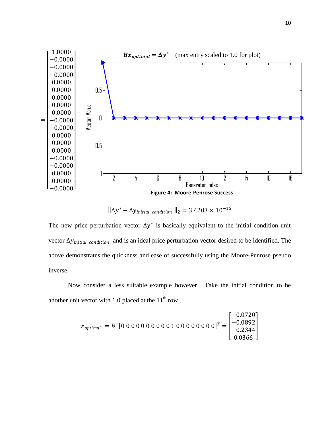

<span id="page-17-0"></span> $\|\Delta y^* - \Delta y_{initial\ conditional} \|_2 = 3.4203 \times 10^{-15}$ 

The new price perturbation vector  $\Delta y^*$  is basically equivalent to the initial condition unit vector  $\Delta y_{initial\ conditional}$  and is an ideal price perturbation vector desired to be identified. The above demonstrates the quickness and ease of successfully using the Moore-Penrose pseudo inverse.

Now consider a less suitable example however. Take the initial condition to be another unit vector with 1.0 placed at the  $11<sup>th</sup>$  row.

$$
x_{optimal} = B^{\dagger} [0\ 0\ 0\ 0\ 0\ 0\ 0\ 0\ 0\ 0\ 1\ 0\ 0\ 0\ 0\ 0\ 0\ 0\ 0]^T = \begin{bmatrix} -0.0720 \\ -0.0892 \\ -0.2344 \\ 0.0366 \end{bmatrix}
$$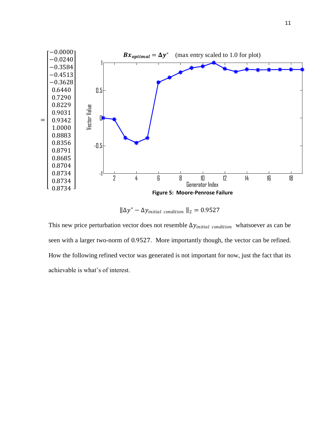

<span id="page-18-0"></span> $\|\Delta y^* - \Delta y_{initial\ conditional} \|_2 = 0.9527$ 

This new price perturbation vector does not resemble  $\Delta y_{initial\ conditional}$  whatsoever as can be seen with a larger two-norm of 0.9527. More importantly though, the vector can be refined. How the following refined vector was generated is not important for now, just the fact that its achievable is what's of interest.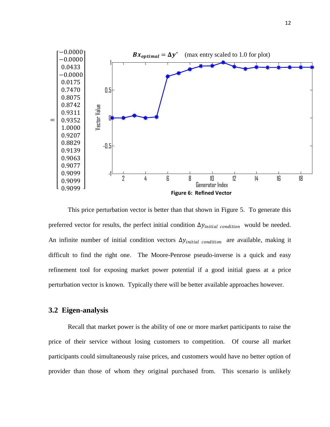

<span id="page-19-1"></span>This price perturbation vector is better than that shown in Figure 5. To generate this preferred vector for results, the perfect initial condition  $\Delta y_{initial\ conditional}$  would be needed. An infinite number of initial condition vectors  $\Delta y_{initial\ conditional}$  are available, making it difficult to find the right one. The Moore-Penrose pseudo-inverse is a quick and easy refinement tool for exposing market power potential if a good initial guess at a price perturbation vector is known. Typically there will be better available approaches however.

# <span id="page-19-0"></span>**3.2 Eigen-analysis**

Recall that market power is the ability of one or more market participants to raise the price of their service without losing customers to competition. Of course all market participants could simultaneously raise prices, and customers would have no better option of provider than those of whom they original purchased from. This scenario is unlikely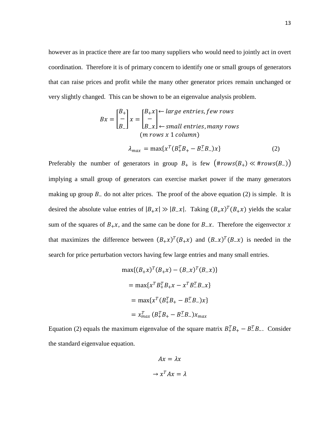however as in practice there are far too many suppliers who would need to jointly act in overt coordination. Therefore it is of primary concern to identify one or small groups of generators that can raise prices and profit while the many other generator prices remain unchanged or very slightly changed. This can be shown to be an eigenvalue analysis problem.

$$
Bx = \begin{bmatrix} B_+ \\ - \\ B_- \end{bmatrix} x = \begin{bmatrix} B_+ x \\ - \\ B_- x \end{bmatrix} \leftarrow \text{large entries, few rows} \\ \leftarrow \text{small entries, many rows} \\ (m \text{ rows } x \text{ 1 column)}
$$

$$
\lambda_{max} = \max\{x^T (B_+^T B_+ - B_-^T B_-) x\} \tag{2}
$$

Preferably the number of generators in group  $B_+$  is few  $(\text{Hrows}(B_+) \ll \text{Hrows}(B_-))$ implying a small group of generators can exercise market power if the many generators making up group  $B_$  do not alter prices. The proof of the above equation (2) is simple. It is desired the absolute value entries of  $|B_+ x| \gg |B_- x|$ . Taking  $(B_+ x)^T (B_+ x)$  yields the scalar sum of the squares of  $B_+x$ , and the same can be done for  $B_+x$ . Therefore the eigenvector x that maximizes the difference between  $(B_+x)^T (B_+x)$  and  $(B_-x)^T (B_-x)$  is needed in the search for price perturbation vectors having few large entries and many small entries.

$$
\max\{(B_{+}x)^{T}(B_{+}x) - (B_{-}x)^{T}(B_{-}x)\}\
$$

$$
= \max\{x^{T}B_{+}^{T}B_{+}x - x^{T}B_{-}^{T}B_{-}x\}\
$$

$$
= \max\{x^{T}(B_{+}^{T}B_{+} - B_{-}^{T}B_{-})x\}\
$$

$$
= x_{max}^{T}(B_{+}^{T}B_{+} - B_{-}^{T}B_{-})x_{max}
$$

Equation (2) equals the maximum eigenvalue of the square matrix  $B_+^T B_+ - B_-^T B_-$ . Consider the standard eigenvalue equation.

$$
Ax = \lambda x
$$

$$
\rightarrow x^T A x = \lambda
$$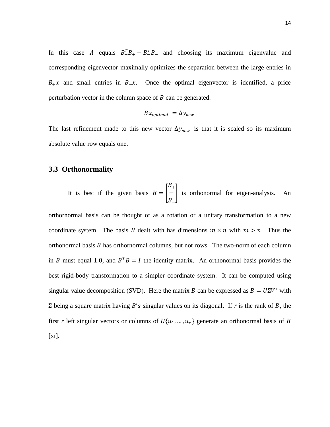In this case A equals  $B_+^T B_+ - B_-^T B_-$  and choosing its maximum eigenvalue and corresponding eigenvector maximally optimizes the separation between the large entries in  $B_+ x$  and small entries in  $B_-\dot{x}$ . Once the optimal eigenvector is identified, a price perturbation vector in the column space of  $B$  can be generated.

$$
Bx_{optimal} = \Delta y_{new}
$$

The last refinement made to this new vector  $\Delta y_{new}$  is that it is scaled so its maximum absolute value row equals one.

#### <span id="page-21-0"></span>**3.3 Orthonormality**

It is best if the given basis 
$$
B = \begin{bmatrix} B_+ \\ - \\ B_- \end{bmatrix}
$$
 is orthonormal for eigen-analysis. An

 $\sim$ 

orthornormal basis can be thought of as a rotation or a unitary transformation to a new coordinate system. The basis B dealt with has dimensions  $m \times n$  with  $m > n$ . Thus the orthonormal basis  $B$  has orthornormal columns, but not rows. The two-norm of each column in B must equal 1.0, and  $B^T B = I$  the identity matrix. An orthonormal basis provides the best rigid-body transformation to a simpler coordinate system. It can be computed using singular value decomposition (SVD). Here the matrix B can be expressed as  $B = U\Sigma V^*$  with Σ being a square matrix having  $B'$ s singular values on its diagonal. If *r* is the rank of *B*, the first *r* left singular vectors or columns of  $U\{u_1, ..., u_r\}$  generate an orthonormal basis of B [\[xi\]](#page-14-1)**.**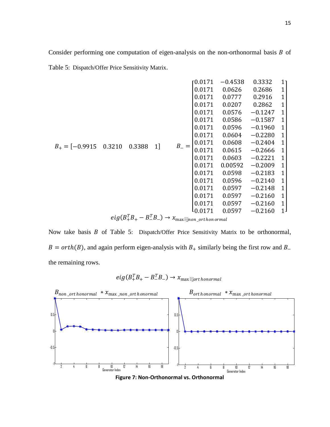Consider performing one computation of eigen-analysis on the non-orthonormal basis  $B$  of Table 5[: Dispatch/Offer Price](#page-15-0) Sensitivity Matrix.

|                                |  |                                                                     |  |           | г0.0171 | $-0.4538$ | 0.3332    | 11             |  |        |        |           |
|--------------------------------|--|---------------------------------------------------------------------|--|-----------|---------|-----------|-----------|----------------|--|--------|--------|-----------|
|                                |  |                                                                     |  |           | 0.0171  | 0.0626    | 0.2686    | 1              |  |        |        |           |
|                                |  |                                                                     |  |           | 0.0171  | 0.0777    | 0.2916    | 1              |  |        |        |           |
|                                |  |                                                                     |  |           | 0.0171  | 0.0207    | 0.2862    | 1              |  |        |        |           |
|                                |  |                                                                     |  |           | 0.0171  | 0.0576    | $-0.1247$ | 1              |  |        |        |           |
|                                |  | 1]<br>0.3388                                                        |  |           | 0.0171  | 0.0586    | $-0.1587$ | $\mathbf{1}$   |  |        |        |           |
|                                |  |                                                                     |  |           | 0.0171  | 0.0596    | $-0.1960$ | $\mathbf{1}$   |  |        |        |           |
| $B_+ = [-0.9915 \quad 0.3210]$ |  |                                                                     |  |           | 0.0171  | 0.0604    | $-0.2280$ | $\mathbf{1}$   |  |        |        |           |
|                                |  |                                                                     |  | $B_{-} =$ | 0.0171  | 0.0608    | $-0.2404$ | $\mathbf{1}$   |  |        |        |           |
|                                |  |                                                                     |  |           | 0.0171  | 0.0615    | $-0.2666$ | $\mathbf{1}$   |  |        |        |           |
|                                |  |                                                                     |  |           |         |           |           |                |  | 0.0171 | 0.0603 | $-0.2221$ |
|                                |  |                                                                     |  |           | 0.0171  | 0.00592   | $-0.2009$ | $\mathbf{1}$   |  |        |        |           |
|                                |  |                                                                     |  |           | 0.0171  | 0.0598    | $-0.2183$ | 1              |  |        |        |           |
|                                |  |                                                                     |  |           | 0.0171  | 0.0596    | $-0.2140$ | $\mathbf{1}$   |  |        |        |           |
|                                |  |                                                                     |  |           | 0.0171  | 0.0597    | $-0.2148$ | $\mathbf{1}$   |  |        |        |           |
|                                |  |                                                                     |  |           | 0.0171  | 0.0597    | $-0.2160$ | $\mathbf{1}$   |  |        |        |           |
|                                |  |                                                                     |  |           | 0.0171  | 0.0597    | $-0.2160$ | $\mathbf{1}$   |  |        |        |           |
|                                |  |                                                                     |  |           | L0.0171 | 0.0597    | $-0.2160$ | 1 <sup>1</sup> |  |        |        |           |
|                                |  | $eig(B_+^TB_+-B_-^TB_-)\rightarrow x_{\max}$ and $e$ are the normal |  |           |         |           |           |                |  |        |        |           |

Now take basis  $B$  of Table 5[: Dispatch/Offer Price](#page-15-0) Sensitivity Matrix to be orthonormal,  $B = orth(B)$ , and again perform eigen-analysis with  $B_+$  similarly being the first row and  $B_$ the remaining rows.





<span id="page-22-0"></span>**Figure 7: Non-Orthonormal vs. Orthonormal**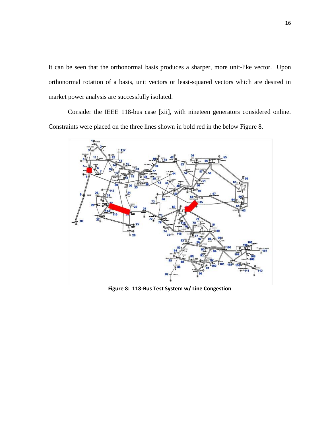It can be seen that the orthonormal basis produces a sharper, more unit-like vector. Upon orthonormal rotation of a basis, unit vectors or least-squared vectors which are desired in market power analysis are successfully isolated.

Consider the IEEE 118-bus case [\[xii\]](#page-14-2), with nineteen generators considered online. Constraints were placed on the three lines shown in bold red in the below [Figure](#page-23-0) 8.



<span id="page-23-0"></span>**Figure 8: 118-Bus Test System w/ Line Congestion**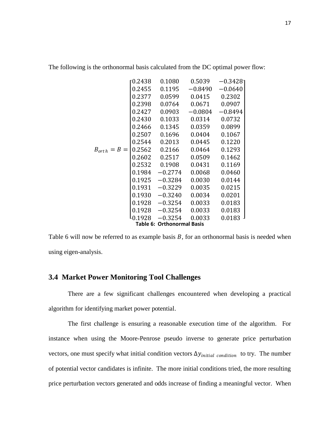|                  | 0.2438 | 0.1080                            | 0.5039    | $-0.3428$ ٦ |
|------------------|--------|-----------------------------------|-----------|-------------|
|                  | 0.2455 | 0.1195                            | $-0.8490$ | $-0.0640$   |
|                  | 0.2377 | 0.0599                            | 0.0415    | 0.2302      |
|                  | 0.2398 | 0.0764                            | 0.0671    | 0.0907      |
|                  | 0.2427 | 0.0903                            | $-0.0804$ | $-0.8494$   |
|                  | 0.2430 | 0.1033                            | 0.0314    | 0.0732      |
|                  | 0.2466 | 0.1345                            | 0.0359    | 0.0899      |
|                  | 0.2507 | 0.1696                            | 0.0404    | 0.1067      |
|                  | 0.2544 | 0.2013                            | 0.0445    | 0.1220      |
| $B_{orth} = B =$ | 0.2562 | 0.2166                            | 0.0464    | 0.1293      |
|                  | 0.2602 | 0.2517                            | 0.0509    | 0.1462      |
|                  | 0.2532 | 0.1908                            | 0.0431    | 0.1169      |
|                  | 0.1984 | $-0.2774$                         | 0.0068    | 0.0460      |
|                  | 0.1925 | $-0.3284$                         | 0.0030    | 0.0144      |
|                  | 0.1931 | $-0.3229$                         | 0.0035    | 0.0215      |
|                  | 0.1930 | $-0.3240$                         | 0.0034    | 0.0201      |
|                  | 0.1928 | $-0.3254$                         | 0.0033    | 0.0183      |
|                  | 0.1928 | $-0.3254$                         | 0.0033    | 0.0183      |
|                  | 0.1928 | $-0.3254$                         | 0.0033    | $0.0183$ J  |
|                  |        | <b>Table 6: Orthonormal Basis</b> |           |             |

The following is the orthonormal basis calculated from the DC optimal power flow:

<span id="page-24-1"></span>[Table 6](#page-24-1) will now be referred to as example basis  $B$ , for an orthonormal basis is needed when using eigen-analysis.

# <span id="page-24-0"></span>**3.4 Market Power Monitoring Tool Challenges**

There are a few significant challenges encountered when developing a practical algorithm for identifying market power potential.

The first challenge is ensuring a reasonable execution time of the algorithm. For instance when using the Moore-Penrose pseudo inverse to generate price perturbation vectors, one must specify what initial condition vectors  $\Delta y_{initial\ conditional}$  to try. The number of potential vector candidates is infinite. The more initial conditions tried, the more resulting price perturbation vectors generated and odds increase of finding a meaningful vector. When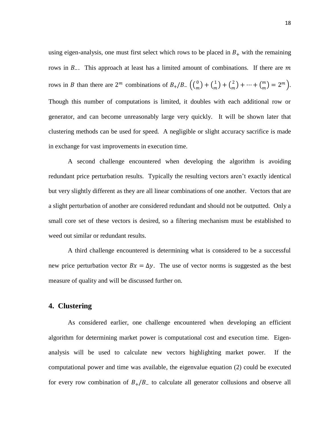using eigen-analysis, one must first select which rows to be placed in  $B_+$  with the remaining rows in  $B_$ . This approach at least has a limited amount of combinations. If there are m rows in B than there are  $2^m$  combinations of  $B_+/B_ \left(\binom{0}{m}$  $\binom{0}{m} + \binom{1}{m}$  $\binom{1}{m} + \binom{2}{m}$  $\binom{2}{m} + \cdots + \binom{m}{m}$  $\binom{m}{m} = 2^m$ . Though this number of computations is limited, it doubles with each additional row or generator, and can become unreasonably large very quickly. It will be shown later that clustering methods can be used for speed. A negligible or slight accuracy sacrifice is made in exchange for vast improvements in execution time.

A second challenge encountered when developing the algorithm is avoiding redundant price perturbation results. Typically the resulting vectors aren't exactly identical but very slightly different as they are all linear combinations of one another. Vectors that are a slight perturbation of another are considered redundant and should not be outputted. Only a small core set of these vectors is desired, so a filtering mechanism must be established to weed out similar or redundant results.

A third challenge encountered is determining what is considered to be a successful new price perturbation vector  $Bx = \Delta y$ . The use of vector norms is suggested as the best measure of quality and will be discussed further on.

#### <span id="page-25-0"></span>**4. Clustering**

As considered earlier, one challenge encountered when developing an efficient algorithm for determining market power is computational cost and execution time. Eigenanalysis will be used to calculate new vectors highlighting market power. If the computational power and time was available, the eigenvalue equation (2) could be executed for every row combination of  $B_{+}/B_{-}$  to calculate all generator collusions and observe all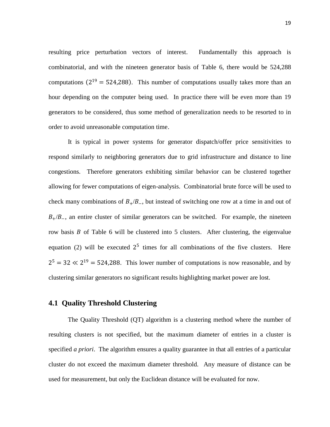resulting price perturbation vectors of interest. Fundamentally this approach is combinatorial, and with the nineteen generator basis of [Table 6,](#page-24-1) there would be 524,288 computations  $(2^{19} = 524,288)$ . This number of computations usually takes more than an hour depending on the computer being used. In practice there will be even more than 19 generators to be considered, thus some method of generalization needs to be resorted to in order to avoid unreasonable computation time.

It is typical in power systems for generator dispatch/offer price sensitivities to respond similarly to neighboring generators due to grid infrastructure and distance to line congestions. Therefore generators exhibiting similar behavior can be clustered together allowing for fewer computations of eigen-analysis. Combinatorial brute force will be used to check many combinations of  $B_{+}/B_{-}$ , but instead of switching one row at a time in and out of  $B_{+}/B_{-}$ , an entire cluster of similar generators can be switched. For example, the nineteen row basis  $B$  of [Table 6](#page-24-1) will be clustered into 5 clusters. After clustering, the eigenvalue equation (2) will be executed  $2^5$  times for all combinations of the five clusters. Here  $2^5 = 32 \ll 2^{19} = 524,288$ . This lower number of computations is now reasonable, and by clustering similar generators no significant results highlighting market power are lost.

# <span id="page-26-0"></span>**4.1 Quality Threshold Clustering**

The Quality Threshold (QT) algorithm is a clustering method where the number of resulting clusters is not specified, but the maximum diameter of entries in a cluster is specified *a priori*. The algorithm ensures a quality guarantee in that all entries of a particular cluster do not exceed the maximum diameter threshold. Any measure of distance can be used for measurement, but only the Euclidean distance will be evaluated for now.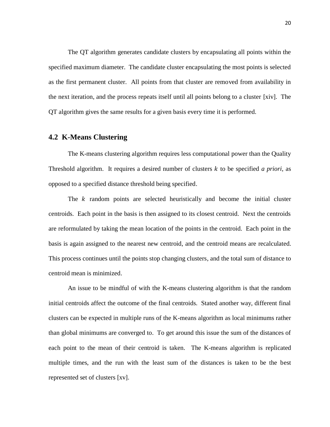The QT algorithm generates candidate clusters by encapsulating all points within the specified maximum diameter. The candidate cluster encapsulating the most points is selected as the first permanent cluster. All points from that cluster are removed from availability in the next iteration, and the process repeats itself until all points belong to a cluster [xiv]. The QT algorithm gives the same results for a given basis every time it is performed.

#### <span id="page-27-0"></span>**4.2 K-Means Clustering**

The K-means clustering algorithm requires less computational power than the Quality Threshold algorithm. It requires a desired number of clusters k to be specified *a priori*, as opposed to a specified distance threshold being specified.

The  $k$  random points are selected heuristically and become the initial cluster centroids. Each point in the basis is then assigned to its closest centroid. Next the centroids are reformulated by taking the mean location of the points in the centroid. Each point in the basis is again assigned to the nearest new centroid, and the centroid means are recalculated. This process continues until the points stop changing clusters, and the total sum of distance to centroid mean is minimized.

<span id="page-27-1"></span>An issue to be mindful of with the K-means clustering algorithm is that the random initial centroids affect the outcome of the final centroids. Stated another way, different final clusters can be expected in multiple runs of the K-means algorithm as local minimums rather than global minimums are converged to. To get around this issue the sum of the distances of each point to the mean of their centroid is taken. The K-means algorithm is replicated multiple times, and the run with the least sum of the distances is taken to be the best represented set of clusters [xv].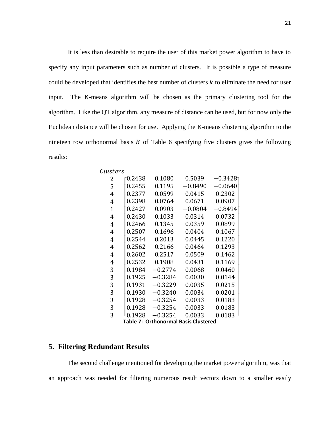It is less than desirable to require the user of this market power algorithm to have to specify any input parameters such as number of clusters. It is possible a type of measure could be developed that identifies the best number of clusters  $k$  to eliminate the need for user input. The K-means algorithm will be chosen as the primary clustering tool for the algorithm. Like the QT algorithm, any measure of distance can be used, but for now only the Euclidean distance will be chosen for use. Applying the K-means clustering algorithm to the nineteen row orthonormal basis  $B$  of [Table 6](#page-24-1) specifying five clusters gives the following results:

| Clusters                                    |        |           |           |             |  |  |
|---------------------------------------------|--------|-----------|-----------|-------------|--|--|
| 2                                           | 0.2438 | 0.1080    | 0.5039    | $-0.3428$ ٦ |  |  |
| 5                                           | 0.2455 | 0.1195    | $-0.8490$ | $-0.0640$   |  |  |
| 4                                           | 0.2377 | 0.0599    | 0.0415    | 0.2302      |  |  |
| 4                                           | 0.2398 | 0.0764    | 0.0671    | 0.0907      |  |  |
| $\mathbf{1}$                                | 0.2427 | 0.0903    | $-0.0804$ | $-0.8494$   |  |  |
| 4                                           | 0.2430 | 0.1033    | 0.0314    | 0.0732      |  |  |
| 4                                           | 0.2466 | 0.1345    | 0.0359    | 0.0899      |  |  |
| 4                                           | 0.2507 | 0.1696    | 0.0404    | 0.1067      |  |  |
| 4                                           | 0.2544 | 0.2013    | 0.0445    | 0.1220      |  |  |
| 4                                           | 0.2562 | 0.2166    | 0.0464    | 0.1293      |  |  |
| 4                                           | 0.2602 | 0.2517    | 0.0509    | 0.1462      |  |  |
| 4                                           | 0.2532 | 0.1908    | 0.0431    | 0.1169      |  |  |
| 3                                           | 0.1984 | $-0.2774$ | 0.0068    | 0.0460      |  |  |
| 3                                           | 0.1925 | $-0.3284$ | 0.0030    | 0.0144      |  |  |
| 3                                           | 0.1931 | $-0.3229$ | 0.0035    | 0.0215      |  |  |
| 3                                           | 0.1930 | $-0.3240$ | 0.0034    | 0.0201      |  |  |
| 3                                           | 0.1928 | $-0.3254$ | 0.0033    | 0.0183      |  |  |
| 3                                           | 0.1928 | $-0.3254$ | 0.0033    | 0.0183      |  |  |
| 3                                           | 0.1928 | $-0.3254$ | 0.0033    | 0.0183      |  |  |
| <b>Table 7: Orthonormal Basis Clustered</b> |        |           |           |             |  |  |

### <span id="page-28-1"></span><span id="page-28-0"></span>**5. Filtering Redundant Results**

The second challenge mentioned for developing the market power algorithm, was that an approach was needed for filtering numerous result vectors down to a smaller easily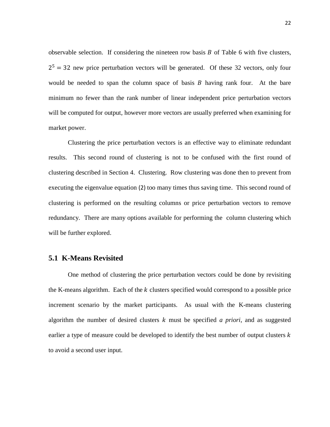observable selection. If considering the nineteen row basis  $B$  of [Table 6](#page-24-1) with five clusters,  $2<sup>5</sup> = 32$  new price perturbation vectors will be generated. Of these 32 vectors, only four would be needed to span the column space of basis  $B$  having rank four. At the bare minimum no fewer than the rank number of linear independent price perturbation vectors will be computed for output, however more vectors are usually preferred when examining for market power.

Clustering the price perturbation vectors is an effective way to eliminate redundant results. This second round of clustering is not to be confused with the first round of clustering described in Section [4. Clustering.](#page-25-0) Row clustering was done then to prevent from executing the eigenvalue equation (2) too many times thus saving time. This second round of clustering is performed on the resulting columns or price perturbation vectors to remove redundancy. There are many options available for performing the column clustering which will be further explored.

#### <span id="page-29-0"></span>**5.1 K-Means Revisited**

One method of clustering the price perturbation vectors could be done by revisiting the K-means algorithm. Each of the  $k$  clusters specified would correspond to a possible price increment scenario by the market participants. As usual with the K-means clustering algorithm the number of desired clusters  $k$  must be specified  $\alpha$  priori, and as suggested earlier a type of measure could be developed to identify the best number of output clusters  $k$ to avoid a second user input.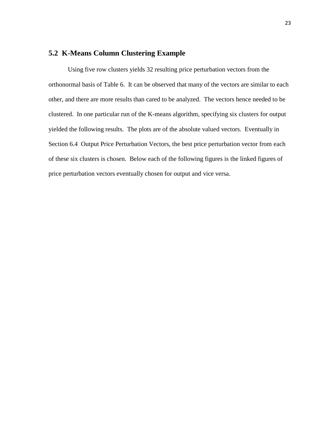# <span id="page-30-0"></span>**5.2 K-Means Column Clustering Example**

Using five row clusters yields 32 resulting price perturbation vectors from the orthonormal basis of [Table 6.](#page-24-1) It can be observed that many of the vectors are similar to each other, and there are more results than cared to be analyzed. The vectors hence needed to be clustered. In one particular run of the K-means algorithm, specifying six clusters for output yielded the following results. The plots are of the absolute valued vectors. Eventually in Section [6.4 Output Price Perturbation Vectors,](#page-47-0) the best price perturbation vector from each of these six clusters is chosen. Below each of the following figures is the linked figures of price perturbation vectors eventually chosen for output and vice versa.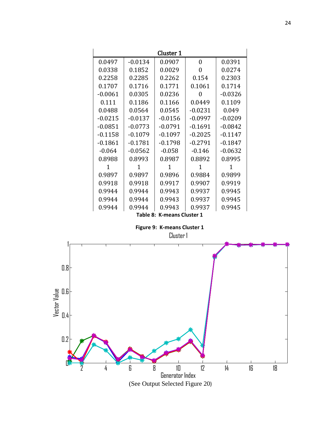| Cluster 1 |                            |           |           |           |  |  |  |  |
|-----------|----------------------------|-----------|-----------|-----------|--|--|--|--|
| 0.0497    | $-0.0134$                  | 0.0907    | 0         | 0.0391    |  |  |  |  |
| 0.0338    | 0.1852                     | 0.0029    | 0         | 0.0274    |  |  |  |  |
| 0.2258    | 0.2285                     | 0.2262    | 0.154     | 0.2303    |  |  |  |  |
| 0.1707    | 0.1716                     | 0.1771    | 0.1061    | 0.1714    |  |  |  |  |
| $-0.0061$ | 0.0305                     | 0.0236    | 0         | $-0.0326$ |  |  |  |  |
| 0.111     | 0.1186                     | 0.1166    | 0.0449    | 0.1109    |  |  |  |  |
| 0.0488    | 0.0564                     | 0.0545    | $-0.0231$ | 0.049     |  |  |  |  |
| $-0.0215$ | $-0.0137$                  | $-0.0156$ | $-0.0997$ | $-0.0209$ |  |  |  |  |
| $-0.0851$ | $-0.0773$                  | $-0.0791$ | $-0.1691$ | $-0.0842$ |  |  |  |  |
| $-0.1158$ | $-0.1079$                  | $-0.1097$ | $-0.2025$ | $-0.1147$ |  |  |  |  |
| $-0.1861$ | $-0.1781$                  | $-0.1798$ | $-0.2791$ | $-0.1847$ |  |  |  |  |
| $-0.064$  | $-0.0562$                  | $-0.058$  | $-0.146$  | $-0.0632$ |  |  |  |  |
| 0.8988    | 0.8993                     | 0.8987    | 0.8892    | 0.8995    |  |  |  |  |
| 1         | 1                          | 1         | 1         | 1         |  |  |  |  |
| 0.9897    | 0.9897                     | 0.9896    | 0.9884    | 0.9899    |  |  |  |  |
| 0.9918    | 0.9918                     | 0.9917    | 0.9907    | 0.9919    |  |  |  |  |
| 0.9944    | 0.9944                     | 0.9943    | 0.9937    | 0.9945    |  |  |  |  |
| 0.9944    | 0.9944                     | 0.9943    | 0.9937    | 0.9945    |  |  |  |  |
| 0.9944    | 0.9944                     | 0.9943    | 0.9937    | 0.9945    |  |  |  |  |
|           | Table 8: K-means Cluster 1 |           |           |           |  |  |  |  |

**Figure 9: K-means Cluster 1**

<span id="page-31-1"></span><span id="page-31-0"></span>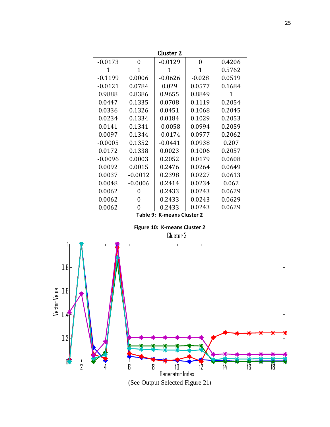| Cluster 2                  |           |           |          |        |  |  |  |
|----------------------------|-----------|-----------|----------|--------|--|--|--|
| $-0.0173$                  | 0         | $-0.0129$ | $\Omega$ | 0.4206 |  |  |  |
| 1                          | 1         | 1         | 1        | 0.5762 |  |  |  |
| $-0.1199$                  | 0.0006    | $-0.0626$ | $-0.028$ | 0.0519 |  |  |  |
| $-0.0121$                  | 0.0784    | 0.029     | 0.0577   | 0.1684 |  |  |  |
| 0.9888                     | 0.8386    | 0.9655    | 0.8849   | 1      |  |  |  |
| 0.0447                     | 0.1335    | 0.0708    | 0.1119   | 0.2054 |  |  |  |
| 0.0336                     | 0.1326    | 0.0451    | 0.1068   | 0.2045 |  |  |  |
| 0.0234                     | 0.1334    | 0.0184    | 0.1029   | 0.2053 |  |  |  |
| 0.0141                     | 0.1341    | $-0.0058$ | 0.0994   | 0.2059 |  |  |  |
| 0.0097                     | 0.1344    | $-0.0174$ | 0.0977   | 0.2062 |  |  |  |
| $-0.0005$                  | 0.1352    | $-0.0441$ | 0.0938   | 0.207  |  |  |  |
| 0.0172                     | 0.1338    | 0.0023    | 0.1006   | 0.2057 |  |  |  |
| $-0.0096$                  | 0.0003    | 0.2052    | 0.0179   | 0.0608 |  |  |  |
| 0.0092                     | 0.0015    | 0.2476    | 0.0264   | 0.0649 |  |  |  |
| 0.0037                     | $-0.0012$ | 0.2398    | 0.0227   | 0.0613 |  |  |  |
| 0.0048                     | $-0.0006$ | 0.2414    | 0.0234   | 0.062  |  |  |  |
| 0.0062                     | 0         | 0.2433    | 0.0243   | 0.0629 |  |  |  |
| 0.0062                     | 0         | 0.2433    | 0.0243   | 0.0629 |  |  |  |
| 0.0062                     | 0         | 0.2433    | 0.0243   | 0.0629 |  |  |  |
| Table 9: K-means Cluster 2 |           |           |          |        |  |  |  |

**Figure 10: K-means Cluster 2**

Cluster 2

<span id="page-32-1"></span><span id="page-32-0"></span>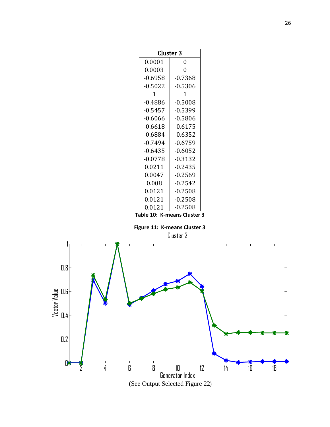| <b>Cluster 3</b> |  |  |  |  |  |
|------------------|--|--|--|--|--|
| 0                |  |  |  |  |  |
| $\overline{0}$   |  |  |  |  |  |
| $-0.7368$        |  |  |  |  |  |
| $-0.5306$        |  |  |  |  |  |
| 1                |  |  |  |  |  |
| $-0.5008$        |  |  |  |  |  |
| $-0.5399$        |  |  |  |  |  |
| $-0.5806$        |  |  |  |  |  |
| $-0.6175$        |  |  |  |  |  |
| $-0.6352$        |  |  |  |  |  |
| $-0.6759$        |  |  |  |  |  |
| $-0.6052$        |  |  |  |  |  |
| $-0.3132$        |  |  |  |  |  |
| $-0.2435$        |  |  |  |  |  |
| $-0.2569$        |  |  |  |  |  |
| $-0.2542$        |  |  |  |  |  |
| $-0.2508$        |  |  |  |  |  |
| $-0.2508$        |  |  |  |  |  |
| $-0.2508$        |  |  |  |  |  |
|                  |  |  |  |  |  |

**Table 10: K-means Cluster 3**

**Figure 11: K-means Cluster 3**

Cluster 3

<span id="page-33-1"></span><span id="page-33-0"></span>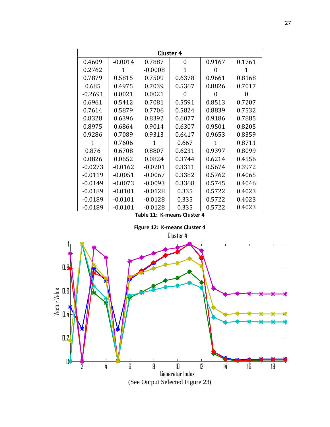| Cluster 4                   |           |           |          |              |        |  |  |
|-----------------------------|-----------|-----------|----------|--------------|--------|--|--|
| 0.4609                      | $-0.0014$ | 0.7887    | $\Omega$ | 0.9167       | 0.1761 |  |  |
| 0.2762                      | 1         | $-0.0008$ | 1        | $\mathbf{0}$ | 1      |  |  |
| 0.7879                      | 0.5815    | 0.7509    | 0.6378   | 0.9661       | 0.8168 |  |  |
| 0.685                       | 0.4975    | 0.7039    | 0.5367   | 0.8826       | 0.7017 |  |  |
| $-0.2691$                   | 0.0021    | 0.0021    | 0        | 0            | 0      |  |  |
| 0.6961                      | 0.5412    | 0.7081    | 0.5591   | 0.8513       | 0.7207 |  |  |
| 0.7614                      | 0.5879    | 0.7706    | 0.5824   | 0.8839       | 0.7532 |  |  |
| 0.8328                      | 0.6396    | 0.8392    | 0.6077   | 0.9186       | 0.7885 |  |  |
| 0.8975                      | 0.6864    | 0.9014    | 0.6307   | 0.9501       | 0.8205 |  |  |
| 0.9286                      | 0.7089    | 0.9313    | 0.6417   | 0.9653       | 0.8359 |  |  |
| 1                           | 0.7606    | 1         | 0.667    | 1            | 0.8711 |  |  |
| 0.876                       | 0.6708    | 0.8807    | 0.6231   | 0.9397       | 0.8099 |  |  |
| 0.0826                      | 0.0652    | 0.0824    | 0.3744   | 0.6214       | 0.4556 |  |  |
| $-0.0273$                   | $-0.0162$ | $-0.0201$ | 0.3311   | 0.5674       | 0.3972 |  |  |
| $-0.0119$                   | $-0.0051$ | $-0.0067$ | 0.3382   | 0.5762       | 0.4065 |  |  |
| $-0.0149$                   | $-0.0073$ | $-0.0093$ | 0.3368   | 0.5745       | 0.4046 |  |  |
| $-0.0189$                   | $-0.0101$ | $-0.0128$ | 0.335    | 0.5722       | 0.4023 |  |  |
| $-0.0189$                   | $-0.0101$ | $-0.0128$ | 0.335    | 0.5722       | 0.4023 |  |  |
| $-0.0189$                   | $-0.0101$ | -0.0128   | 0.335    | 0.5722       | 0.4023 |  |  |
| Table 11: K-means Cluster 4 |           |           |          |              |        |  |  |

**Figure 12: K-means Cluster 4**

Cluster 4

<span id="page-34-1"></span><span id="page-34-0"></span>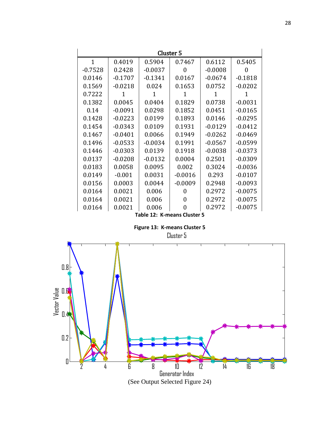| Cluster 5    |           |           |                             |           |           |  |  |
|--------------|-----------|-----------|-----------------------------|-----------|-----------|--|--|
| $\mathbf{1}$ | 0.4019    | 0.5904    | 0.7467                      | 0.6112    | 0.5405    |  |  |
| $-0.7528$    | 0.2428    | $-0.0037$ | $\mathbf{0}$                | $-0.0008$ | 0         |  |  |
| 0.0146       | $-0.1707$ | $-0.1341$ | 0.0167                      | $-0.0674$ | $-0.1818$ |  |  |
| 0.1569       | $-0.0218$ | 0.024     | 0.1653                      | 0.0752    | $-0.0202$ |  |  |
| 0.7222       | 1         | 1         | 1                           | 1         | 1         |  |  |
| 0.1382       | 0.0045    | 0.0404    | 0.1829                      | 0.0738    | $-0.0031$ |  |  |
| 0.14         | $-0.0091$ | 0.0298    | 0.1852                      | 0.0451    | $-0.0165$ |  |  |
| 0.1428       | $-0.0223$ | 0.0199    | 0.1893                      | 0.0146    | $-0.0295$ |  |  |
| 0.1454       | $-0.0343$ | 0.0109    | 0.1931                      | $-0.0129$ | $-0.0412$ |  |  |
| 0.1467       | $-0.0401$ | 0.0066    | 0.1949                      | $-0.0262$ | $-0.0469$ |  |  |
| 0.1496       | $-0.0533$ | $-0.0034$ | 0.1991                      | $-0.0567$ | $-0.0599$ |  |  |
| 0.1446       | $-0.0303$ | 0.0139    | 0.1918                      | $-0.0038$ | $-0.0373$ |  |  |
| 0.0137       | $-0.0208$ | $-0.0132$ | 0.0004                      | 0.2501    | $-0.0309$ |  |  |
| 0.0183       | 0.0058    | 0.0095    | 0.002                       | 0.3024    | $-0.0036$ |  |  |
| 0.0149       | $-0.001$  | 0.0031    | $-0.0016$                   | 0.293     | $-0.0107$ |  |  |
| 0.0156       | 0.0003    | 0.0044    | $-0.0009$                   | 0.2948    | $-0.0093$ |  |  |
| 0.0164       | 0.0021    | 0.006     | 0                           | 0.2972    | $-0.0075$ |  |  |
| 0.0164       | 0.0021    | 0.006     | 0                           | 0.2972    | $-0.0075$ |  |  |
| 0.0164       | 0.0021    | 0.006     | 0                           | 0.2972    | $-0.0075$ |  |  |
|              |           |           | Table 12: K-means Cluster 5 |           |           |  |  |

**Figure 13: K-means Cluster 5**

Cluster 5

<span id="page-35-1"></span><span id="page-35-0"></span>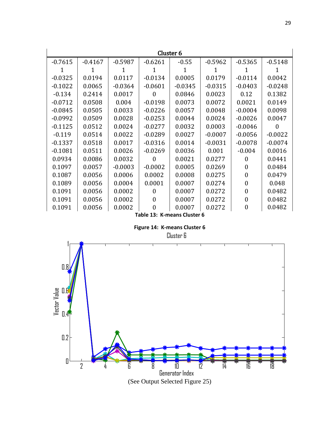| Cluster <sub>6</sub> |                             |           |           |           |           |                  |           |  |
|----------------------|-----------------------------|-----------|-----------|-----------|-----------|------------------|-----------|--|
| $-0.7615$            | $-0.4167$                   | $-0.5987$ | $-0.6261$ | $-0.55$   | $-0.5962$ | $-0.5365$        | $-0.5148$ |  |
|                      | 1                           |           |           | 1         |           |                  |           |  |
| $-0.0325$            | 0.0194                      | 0.0117    | $-0.0134$ | 0.0005    | 0.0179    | $-0.0114$        | 0.0042    |  |
| $-0.1022$            | 0.0065                      | $-0.0364$ | $-0.0601$ | $-0.0345$ | $-0.0315$ | $-0.0403$        | $-0.0248$ |  |
| $-0.134$             | 0.2414                      | 0.0017    | $\Omega$  | 0.0846    | 0.0023    | 0.12             | 0.1382    |  |
| $-0.0712$            | 0.0508                      | 0.004     | $-0.0198$ | 0.0073    | 0.0072    | 0.0021           | 0.0149    |  |
| $-0.0845$            | 0.0505                      | 0.0033    | $-0.0226$ | 0.0057    | 0.0048    | $-0.0004$        | 0.0098    |  |
| $-0.0992$            | 0.0509                      | 0.0028    | $-0.0253$ | 0.0044    | 0.0024    | $-0.0026$        | 0.0047    |  |
| $-0.1125$            | 0.0512                      | 0.0024    | $-0.0277$ | 0.0032    | 0.0003    | $-0.0046$        | 0         |  |
| $-0.119$             | 0.0514                      | 0.0022    | $-0.0289$ | 0.0027    | $-0.0007$ | $-0.0056$        | $-0.0022$ |  |
| $-0.1337$            | 0.0518                      | 0.0017    | $-0.0316$ | 0.0014    | $-0.0031$ | $-0.0078$        | $-0.0074$ |  |
| $-0.1081$            | 0.0511                      | 0.0026    | $-0.0269$ | 0.0036    | 0.001     | $-0.004$         | 0.0016    |  |
| 0.0934               | 0.0086                      | 0.0032    | 0         | 0.0021    | 0.0277    | 0                | 0.0441    |  |
| 0.1097               | 0.0057                      | $-0.0003$ | $-0.0002$ | 0.0005    | 0.0269    | $\theta$         | 0.0484    |  |
| 0.1087               | 0.0056                      | 0.0006    | 0.0002    | 0.0008    | 0.0275    | $\theta$         | 0.0479    |  |
| 0.1089               | 0.0056                      | 0.0004    | 0.0001    | 0.0007    | 0.0274    | $\boldsymbol{0}$ | 0.048     |  |
| 0.1091               | 0.0056                      | 0.0002    | 0         | 0.0007    | 0.0272    | $\Omega$         | 0.0482    |  |
| 0.1091               | 0.0056                      | 0.0002    | 0         | 0.0007    | 0.0272    | $\boldsymbol{0}$ | 0.0482    |  |
| 0.1091               | 0.0056                      | 0.0002    | $\theta$  | 0.0007    | 0.0272    | $\overline{0}$   | 0.0482    |  |
|                      | Table 13: K-means Cluster 6 |           |           |           |           |                  |           |  |

**Figure 14: K-means Cluster 6**

<span id="page-36-1"></span><span id="page-36-0"></span>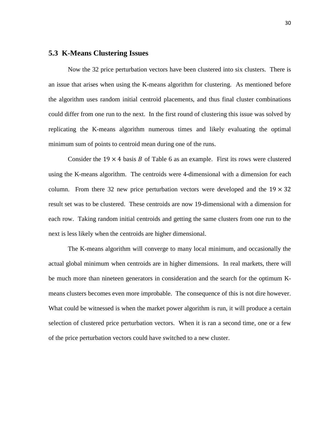#### <span id="page-37-0"></span>**5.3 K-Means Clustering Issues**

Now the 32 price perturbation vectors have been clustered into six clusters. There is an issue that arises when using the K-means algorithm for clustering. As mentioned before the algorithm uses random initial centroid placements, and thus final cluster combinations could differ from one run to the next. In the first round of clustering this issue was solved by replicating the K-means algorithm numerous times and likely evaluating the optimal minimum sum of points to centroid mean during one of the runs.

Consider the  $19 \times 4$  basis B of [Table 6](#page-24-1) as an example. First its rows were clustered using the K-means algorithm. The centroids were 4-dimensional with a dimension for each column. From there 32 new price perturbation vectors were developed and the  $19 \times 32$ result set was to be clustered. These centroids are now 19-dimensional with a dimension for each row. Taking random initial centroids and getting the same clusters from one run to the next is less likely when the centroids are higher dimensional.

The K-means algorithm will converge to many local minimum, and occasionally the actual global minimum when centroids are in higher dimensions. In real markets, there will be much more than nineteen generators in consideration and the search for the optimum Kmeans clusters becomes even more improbable. The consequence of this is not dire however. What could be witnessed is when the market power algorithm is run, it will produce a certain selection of clustered price perturbation vectors. When it is ran a second time, one or a few of the price perturbation vectors could have switched to a new cluster.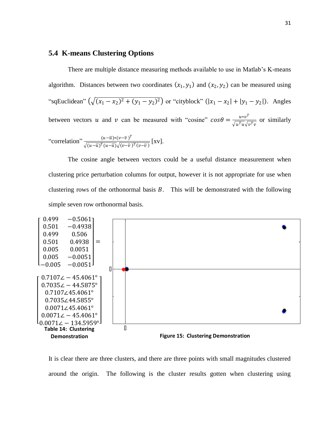# <span id="page-38-0"></span>**5.4 K-means Clustering Options**

There are multiple distance measuring methods available to use in Matlab's K-means algorithm. Distances between two coordinates  $(x_1, y_1)$  and  $(x_2, y_2)$  can be measured using "sqEuclidean"  $(\sqrt{(x_1 - x_2)^2 + (y_1 - y_2)^2})$  or "cityblock"  $(|x_1 - x_2| + |y_1 - y_2|)$ . Angles between vectors u and v can be measured with "cosine"  $cos\theta = \frac{u*v^T}{\sqrt{u^T+v^T}}$  $\frac{u*v}{\sqrt{u^T u} \sqrt{v^T v}}$  or similarly "correlation"  $\frac{(u-\overline{u})*(v-\overline{v})^T}{\sqrt{v-\overline{v}^T+(v-\overline{v})^T}}$  $\frac{(u-u)*(v-v)}{\sqrt{(u-\overline{u})^T(u-\overline{u})}\sqrt{(v-\overline{v})^T(v-\overline{v})}}$  [XV].

The cosine angle between vectors could be a useful distance measurement when clustering price perturbation columns for output, however it is not appropriate for use when clustering rows of the orthonormal basis  $B$ . This will be demonstrated with the following simple seven row orthonormal basis.



<span id="page-38-2"></span><span id="page-38-1"></span>It is clear there are three clusters, and there are three points with small magnitudes clustered around the origin. The following is the cluster results gotten when clustering using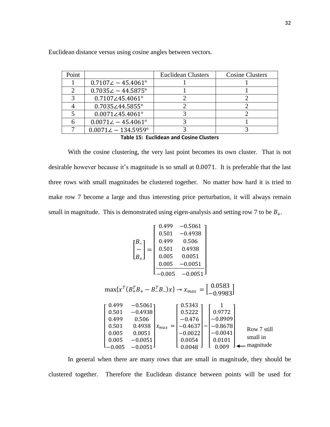| Point |                                  | <b>Euclidean Clusters</b> | <b>Cosine Clusters</b> |
|-------|----------------------------------|---------------------------|------------------------|
|       | $0.7107\angle -45.4061^{\circ}$  |                           |                        |
|       | $0.7035\angle -44.5875^{\circ}$  |                           |                        |
|       | $0.7107\angle 45.4061^{\circ}$   |                           |                        |
|       | $0.7035 \angle 44.5855$ °        |                           |                        |
|       | $0.0071\angle 45.4061^{\circ}$   |                           |                        |
|       | $0.0071\angle -45.4061^{\circ}$  |                           |                        |
|       | $0.0071\angle -134.5959^{\circ}$ |                           |                        |
|       |                                  |                           |                        |

Euclidean distance versus using cosine angles between vectors.

**Table 15: Euclidean and Cosine Clusters**

<span id="page-39-0"></span>With the cosine clustering, the very last point becomes its own cluster. That is not desirable however because it's magnitude is so small at 0.0071. It is preferable that the last three rows with small magnitudes be clustered together. No matter how hard it is tried to make row 7 become a large and thus interesting price perturbation, it will always remain small in magnitude. This is demonstrated using eigen-analysis and setting row 7 to be  $B_+$ .

$$
\begin{bmatrix}\nB_{-} \\
B_{+}\n\end{bmatrix} = \begin{bmatrix}\n0.499 & -0.5061 \\
0.501 & -0.4938 \\
0.499 & 0.506 \\
0.005 & 0.0051 \\
-0.005 & -0.0051\n\end{bmatrix}
$$
\n
$$
\max\{x^{T}(B_{+}^{T}B_{+} - B_{-}^{T}B_{-})x\} \rightarrow x_{max} = \begin{bmatrix}\n0.0583 \\
0.9983\n\end{bmatrix}
$$
\n
$$
\begin{bmatrix}\n0.499 & -0.5061 \\
0.501 & -0.4938 \\
0.499 & 0.506 \\
0.501 & 0.4938 \\
0.499 & 0.506 \\
0.501 & 0.4938 \\
0.005 & 0.0051 \\
0.005 & -0.0051\n\end{bmatrix} x_{max} = \begin{bmatrix}\n0.5343 \\
0.5222 \\
-0.476 \\
-0.476 \\
-0.476 \\
-0.476 \\
-0.0022 \\
-0.0041 \\
0.0054\n\end{bmatrix} \sim \begin{bmatrix}\n1 \\
0.9772 \\
-0.8678 \\
-0.8678 \\
-0.0041 \\
0.0101 \\
0.009\n\end{bmatrix} \quad \text{Row 7 still small in } \n\text{small in } \n\text{small}
$$

In general when there are many rows that are small in magnitude, they should be clustered together. Therefore the Euclidean distance between points will be used for

 $\mathsf{L}$ I I I I I I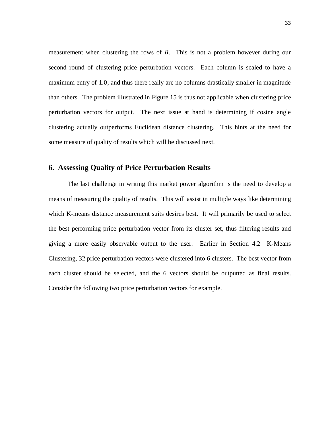measurement when clustering the rows of  $B$ . This is not a problem however during our second round of clustering price perturbation vectors. Each column is scaled to have a maximum entry of 1.0, and thus there really are no columns drastically smaller in magnitude than others. The problem illustrated in [Figure 15](#page-38-2) is thus not applicable when clustering price perturbation vectors for output. The next issue at hand is determining if cosine angle clustering actually outperforms Euclidean distance clustering. This hints at the need for some measure of quality of results which will be discussed next.

# <span id="page-40-0"></span>**6. Assessing Quality of Price Perturbation Results**

The last challenge in writing this market power algorithm is the need to develop a means of measuring the quality of results. This will assist in multiple ways like determining which K-means distance measurement suits desires best. It will primarily be used to select the best performing price perturbation vector from its cluster set, thus filtering results and giving a more easily observable output to the user. Earlier in Section [4.2 K-Means](#page-27-0)  [Clustering,](#page-27-0) 32 price perturbation vectors were clustered into 6 clusters. The best vector from each cluster should be selected, and the 6 vectors should be outputted as final results. Consider the following two price perturbation vectors for example.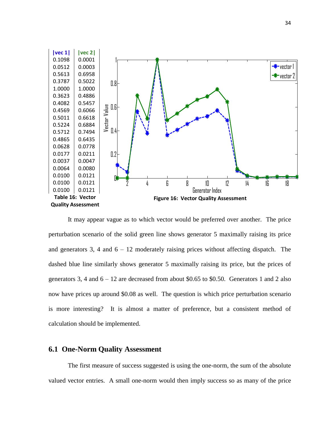

<span id="page-41-2"></span><span id="page-41-1"></span>It may appear vague as to which vector would be preferred over another. The price perturbation scenario of the solid green line shows generator 5 maximally raising its price and generators 3, 4 and  $6 - 12$  moderately raising prices without affecting dispatch. The dashed blue line similarly shows generator 5 maximally raising its price, but the prices of generators 3, 4 and  $6 - 12$  are decreased from about \$0.65 to \$0.50. Generators 1 and 2 also now have prices up around \$0.08 as well. The question is which price perturbation scenario is more interesting? It is almost a matter of preference, but a consistent method of calculation should be implemented.

### <span id="page-41-0"></span>**6.1 One-Norm Quality Assessment**

The first measure of success suggested is using the one-norm, the sum of the absolute valued vector entries. A small one-norm would then imply success so as many of the price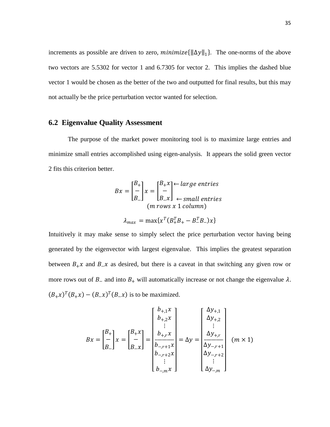increments as possible are driven to zero,  $minimize\{\|\Delta y\|_1\}$ . The one-norms of the above two vectors are 5.5302 for vector 1 and 6.7305 for vector 2. This implies the dashed blue vector 1 would be chosen as the better of the two and outputted for final results, but this may not actually be the price perturbation vector wanted for selection.

# <span id="page-42-0"></span>**6.2 Eigenvalue Quality Assessment**

The purpose of the market power monitoring tool is to maximize large entries and minimize small entries accomplished using eigen-analysis. It appears the solid green vector 2 fits this criterion better.

$$
Bx = \begin{bmatrix} B_+ \\ - \\ B_- \end{bmatrix} x = \begin{bmatrix} B_+ x \\ - \\ B_- x \end{bmatrix} \leftarrow \text{large entries}
$$
  
(*m* rows *x* 1 column)  

$$
\lambda_{max} = \max \{ x^T (B_+^T B_+ - B_-^T B_-) x \}
$$

Intuitively it may make sense to simply select the price perturbation vector having being generated by the eigenvector with largest eigenvalue. This implies the greatest separation between  $B_+ x$  and  $B_- x$  as desired, but there is a caveat in that switching any given row or more rows out of  $B_$  and into  $B_+$  will automatically increase or not change the eigenvalue  $\lambda$ .  $(B_+x)^T (B_+x) - (B_-x)^T (B_-x)$  is to be maximized.

$$
Bx = \begin{bmatrix} B_{+} \\ - \\ B_{-} \end{bmatrix} x = \begin{bmatrix} B_{+}x \\ - \\ B_{-}x \end{bmatrix} = \begin{bmatrix} b_{+,1}x \\ b_{+,2}x \\ \vdots \\ b_{-,r+1}x \\ b_{-,r+2}x \\ \vdots \\ b_{-,m}x \end{bmatrix} = \Delta y = \begin{bmatrix} \Delta y_{+,1} \\ \Delta y_{+,2} \\ \vdots \\ \Delta y_{-,r+1} \\ \Delta y_{-,r+2} \\ \vdots \\ \Delta y_{-,m} \end{bmatrix} \quad (m \times 1)
$$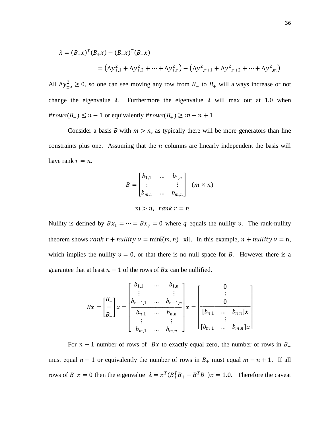$$
\lambda = (B_+ x)^T (B_+ x) - (B_- x)^T (B_- x)
$$
  
=  $( \Delta y_{+,1}^2 + \Delta y_{+,2}^2 + \dots + \Delta y_{+,r}^2) - (\Delta y_{-,r+1}^2 + \Delta y_{-,r+2}^2 + \dots + \Delta y_{-,m}^2)$ 

All  $\Delta y_{\pm,i}^2 \ge 0$ , so one can see moving any row from  $B_-$  to  $B_+$  will always increase or not change the eigenvalue  $\lambda$ . Furthermore the eigenvalue  $\lambda$  will max out at 1.0 when  $\#rows(S_{-}) \leq n-1$  or equivalently  $\#rows(S_{+}) \geq m-n+1$ .

Consider a basis B with  $m > n$ , as typically there will be more generators than line constraints plus one. Assuming that the  $n$  columns are linearly independent the basis will have rank  $r = n$ .

$$
B = \begin{bmatrix} b_{1,1} & \dots & b_{1,n} \\ \vdots & & \vdots \\ b_{m,1} & \dots & b_{m,n} \end{bmatrix} \quad (m \times n)
$$

$$
m > n, \text{ rank } r = n
$$

Nullity is defined by  $Bx_1 = \cdots = Bx_q = 0$  where q equals the nullity v. The rank-nullity

theorem shows rank  $r + nullity$   $\nu = min[$  $\hat{m}, n)$  [\[xi\]](#page-14-1). In this example,  $n + nullity$   $\nu = n$ , which implies the nullity  $v = 0$ , or that there is no null space for B. However there is a guarantee that at least  $n - 1$  of the rows of  $Bx$  can be nullified.

$$
Bx = \begin{bmatrix} B_{-} \\ - \\ B_{+} \end{bmatrix} x = \begin{bmatrix} b_{1,1} & \dots & b_{1,n} \\ \vdots & & \vdots \\ b_{n-1,1} & \dots & b_{n-1,n} \\ \vdots & & \vdots \\ b_{m,1} & \dots & b_{m,n} \end{bmatrix} x = \begin{bmatrix} 0 \\ \vdots \\ 0 \\ \vdots \\ [b_{m,1} & \dots & b_{n,n} \end{bmatrix} x
$$

For  $n - 1$  number of rows of Bx to exactly equal zero, the number of rows in B must equal  $n - 1$  or equivalently the number of rows in  $B_+$  must equal  $m - n + 1$ . If all rows of  $B_{-}x = 0$  then the eigenvalue  $\lambda = x^T (B_{+}^T B_{+} - B_{-}^T B_{-}) x = 1.0$ . Therefore the caveat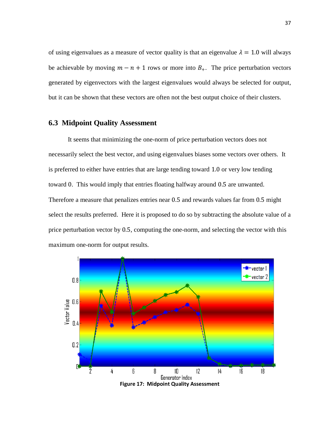of using eigenvalues as a measure of vector quality is that an eigenvalue  $\lambda = 1.0$  will always be achievable by moving  $m - n + 1$  rows or more into  $B_{+}$ . The price perturbation vectors generated by eigenvectors with the largest eigenvalues would always be selected for output, but it can be shown that these vectors are often not the best output choice of their clusters.

# <span id="page-44-0"></span>**6.3 Midpoint Quality Assessment**

It seems that minimizing the one-norm of price perturbation vectors does not necessarily select the best vector, and using eigenvalues biases some vectors over others. It is preferred to either have entries that are large tending toward 1.0 or very low tending toward 0. This would imply that entries floating halfway around 0.5 are unwanted. Therefore a measure that penalizes entries near 0.5 and rewards values far from 0.5 might select the results preferred. Here it is proposed to do so by subtracting the absolute value of a price perturbation vector by 0.5, computing the one-norm, and selecting the vector with this maximum one-norm for output results.

<span id="page-44-1"></span>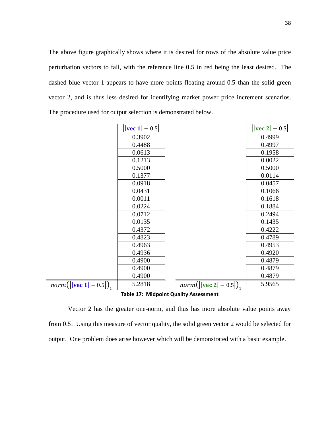The above figure graphically shows where it is desired for rows of the absolute value price perturbation vectors to fall, with the reference line 0.5 in red being the least desired. The dashed blue vector 1 appears to have more points floating around 0.5 than the solid green vector 2, and is thus less desired for identifying market power price increment scenarios. The procedure used for output selection is demonstrated below.

|                                               | $ vec 1  - 0.5 $ |                                       | $ vec 2  - 0.5 $ |  |  |  |  |
|-----------------------------------------------|------------------|---------------------------------------|------------------|--|--|--|--|
|                                               | 0.3902           |                                       | 0.4999           |  |  |  |  |
|                                               | 0.4488           |                                       | 0.4997           |  |  |  |  |
|                                               | 0.0613           |                                       | 0.1958           |  |  |  |  |
|                                               | 0.1213           |                                       | 0.0022           |  |  |  |  |
|                                               | 0.5000           |                                       | 0.5000           |  |  |  |  |
|                                               | 0.1377           |                                       | 0.0114           |  |  |  |  |
|                                               | 0.0918           |                                       | 0.0457           |  |  |  |  |
|                                               | 0.0431           |                                       | 0.1066           |  |  |  |  |
|                                               | 0.0011           |                                       | 0.1618           |  |  |  |  |
|                                               | 0.0224           |                                       | 0.1884           |  |  |  |  |
|                                               | 0.0712           |                                       | 0.2494           |  |  |  |  |
|                                               | 0.0135           |                                       | 0.1435           |  |  |  |  |
|                                               | 0.4372           |                                       | 0.4222           |  |  |  |  |
|                                               | 0.4823           |                                       | 0.4789           |  |  |  |  |
|                                               | 0.4963           |                                       | 0.4953           |  |  |  |  |
|                                               | 0.4936           |                                       | 0.4920           |  |  |  |  |
|                                               | 0.4900           |                                       | 0.4879           |  |  |  |  |
|                                               | 0.4900           |                                       | 0.4879           |  |  |  |  |
|                                               | 0.4900           |                                       | 0.4879           |  |  |  |  |
| <i>norm</i> ( $\vert$   <b>vec</b> 1  – 0.5 ) | 5.2818           | <i>norm</i> ( $\vert$  vec 2  – 0.5 ) | 5.9565           |  |  |  |  |
| <b>Table 17: Midpoint Quality Assessment</b>  |                  |                                       |                  |  |  |  |  |

<span id="page-45-0"></span>Vector 2 has the greater one-norm, and thus has more absolute value points away from 0.5. Using this measure of vector quality, the solid green vector 2 would be selected for output. One problem does arise however which will be demonstrated with a basic example.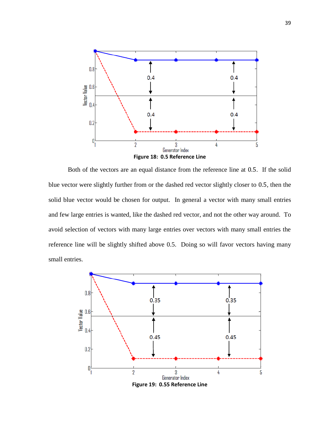

<span id="page-46-0"></span>Both of the vectors are an equal distance from the reference line at 0.5. If the solid blue vector were slightly further from or the dashed red vector slightly closer to 0.5, then the solid blue vector would be chosen for output. In general a vector with many small entries and few large entries is wanted, like the dashed red vector, and not the other way around. To avoid selection of vectors with many large entries over vectors with many small entries the reference line will be slightly shifted above 0.5. Doing so will favor vectors having many small entries.



<span id="page-46-1"></span>**Figure 19: 0.55 Reference Line**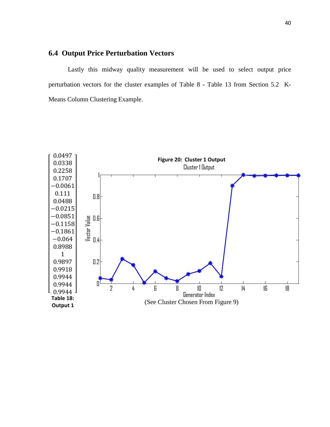# <span id="page-47-0"></span>**6.4 Output Price Perturbation Vectors**

Lastly this midway quality measurement will be used to select output price perturbation vectors for the cluster examples of [Table](#page-31-0) 8 - [Table](#page-36-0) 13 from Section [5.2 K-](#page-30-0)[Means Column Clustering Example.](#page-30-0)

<span id="page-47-2"></span><span id="page-47-1"></span>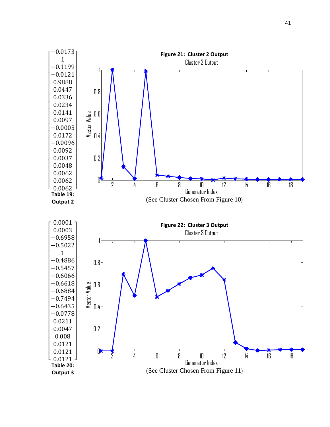<span id="page-48-3"></span><span id="page-48-2"></span><span id="page-48-1"></span><span id="page-48-0"></span>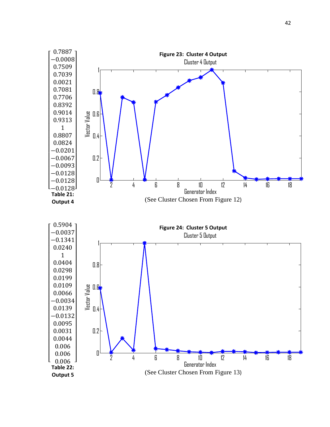<span id="page-49-3"></span><span id="page-49-2"></span><span id="page-49-1"></span><span id="page-49-0"></span>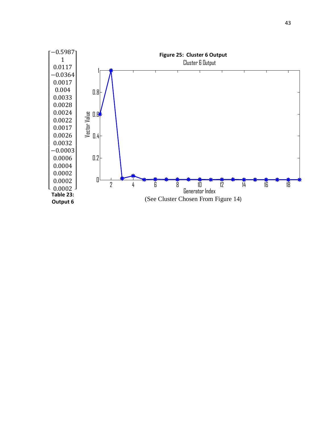<span id="page-50-1"></span><span id="page-50-0"></span>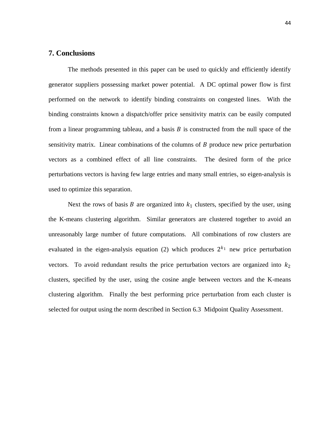#### <span id="page-51-0"></span>**7. Conclusions**

The methods presented in this paper can be used to quickly and efficiently identify generator suppliers possessing market power potential. A DC optimal power flow is first performed on the network to identify binding constraints on congested lines. With the binding constraints known a dispatch/offer price sensitivity matrix can be easily computed from a linear programming tableau, and a basis  $B$  is constructed from the null space of the sensitivity matrix. Linear combinations of the columns of  $B$  produce new price perturbation vectors as a combined effect of all line constraints. The desired form of the price perturbations vectors is having few large entries and many small entries, so eigen-analysis is used to optimize this separation.

Next the rows of basis  $B$  are organized into  $k_1$  clusters, specified by the user, using the K-means clustering algorithm. Similar generators are clustered together to avoid an unreasonably large number of future computations. All combinations of row clusters are evaluated in the eigen-analysis equation (2) which produces  $2^{k_1}$  new price perturbation vectors. To avoid redundant results the price perturbation vectors are organized into  $k_2$ clusters, specified by the user, using the cosine angle between vectors and the K-means clustering algorithm. Finally the best performing price perturbation from each cluster is selected for output using the norm described in Section [6.3 Midpoint Quality Assessment.](#page-44-0)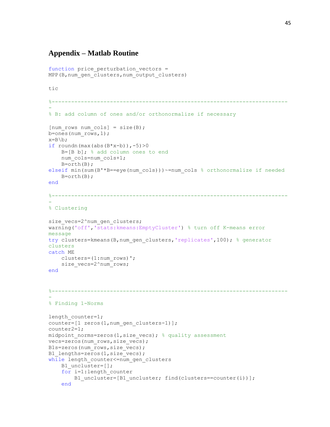# <span id="page-52-0"></span>**Appendix – Matlab Routine**

```
function price perturbation vectors =
MPP(B, num gen clusters, num output clusters)
tic
%-------------------------------------------------------------------------
-
% B: add column of ones and/or orthonormalize if necessary 
[num rows num cols] = size(B);
b=ones(num_rows,1);
x=B\backslash b;
if roundn(max(abs(B*x-b)),-5)>0
    B=[B b]; % add column ones to end
    num cols=num cols+1;
    B=orth(B);elseif min(sum(B'*B==eye(num_cols)))~=num_cols % orthonormalize if needed
    B=orth(B);end
%-------------------------------------------------------------------------
-
% Clustering
size vecs=2^num gen clusters;
warning('off','stats:kmeans:EmptyCluster') % turn off K-means error 
message
try clusters=kmeans(B,num gen clusters, 'replicates',100); % generator
clusters
catch ME
     clusters=(1:num_rows)';
    size vecs=2^num_rows;
end
%-------------------------------------------------------------------------
-
% Finding 1-Norms
length counter=1;
counter=[1 zeros(1,num_gen_clusters-1)]; 
counter2=1;
midpoint norms=zeros(1,size vecs); % quality assessment
vecs=zeros(num_rows,size_vecs);
B1s=zeros(num_rows,size_vecs); 
B1 lengths=zeros(1, size vecs);
while length counter<=num gen clusters
    B1_uncluster=[];
    for i=1:length counter
        B1_uncluster=[B1_uncluster; find(clusters==counter(i))];
     end
```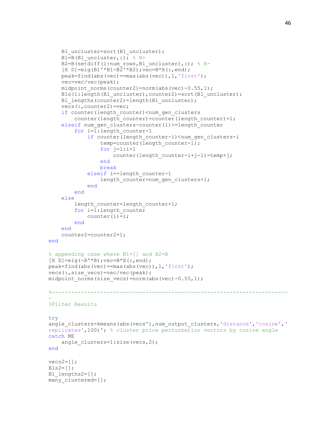```
B1_uncluster=sort(B1_uncluster);
    B1=B(B1 uncluster, :); % B+
    B2=B(setdiff(1:num_rows,B1_uncluster),:); % B-
    [X D] = eig(B1' * B1 - B2' * B2); vec=B*X(:, end);
     peak=find(abs(vec)==max(abs(vec)),1,'first');
     vec=vec/vec(peak);
    midpoint norms(counter2)=norm(abs(vec)-0.55,1);
    Bls(1:length(B1_uncluster),counter2)=sort(B1_uncluster);
    B1 lengths(counter2)=length(B1 uncluster);
     vecs(:,counter2)=vec;
    if counter(length counter)<num gen clusters
        counter(length counter)=counter(length counter)+1;
    elseif num gen clusters-counter(1)>=length counter
         for i=1:length_counter-1
            if counter(length counter-i)<num gen clusters-i
                temp=counter(length counter-i);
                for j=1:i+1counter(length counter-i+j-1)=temp+j;
                 end
                break
             elseif i==length_counter-1
                length counter=num gen clusters+1;
             end
         end
     else
        length counter=length counter+1;
         for i=1:length_counter
            counter(i)=i;
         end
     end
     counter2=counter2+1;
end
% appending case where B1=[] and B2=B
[X D]=eig(-B'*B);vec=B*x(:,end);peak=find(abs(vec)==max(abs(vec)),1,'first');
vecs(:, size vecs)=vec/vec(peak);
midpoint norms(size vecs)=norm(abs(vec)-0.55,1);
%-------------------------------------------------------------------------
-
%Filter Results
try
angle clusters=kmeans(abs(vecs'),num_output_clusters,'distance','cosine','
replicates',100)'; % cluster price perturbation vectors by cosine angle
catch ME
    angle_clusters=1:size(vecs,2);
end
vecs2=[];
B1s2=[;;B1 lengths2=[];
many clustered=[];
```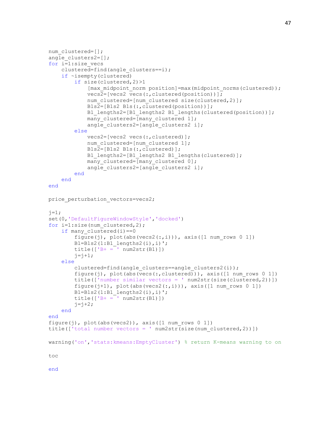```
num_clustered=[];
angle_clusters2=[];
for i=1:size_vecs
    clustered=find(angle clusters==i);
     if ~isempty(clustered)
         if size(clustered,2)>1
            [max_midpoint_norm_position]=max(midpoint_norms(clustered));
             vecs2=[vecs2 vecs(:,clustered(position))];
            num clustered=[num clustered size(clustered,2)];
             B1s2=[B1s2 B1s(:,clustered(position))];
            B1 lengths2=[B1 lengths2 B1 lengths(clustered(position))];
            many clustered=[many clustered 1];
            angle clusters2=[angle clusters2 i];
         else
             vecs2=[vecs2 vecs(:,clustered)];
            num clustered=[num clustered 1];
             B1s2=[B1s2 B1s(:,clustered)];
            B1 lengths2=[B1 lengths2 B1 lengths(clustered)];
            many clustered=[many clustered 0];
            angle clusters2=[angle clusters2 i];
         end
     end
end
price perturbation vectors=vecs2;
j=1;set(0,'DefaultFigureWindowStyle','docked') 
for i=1:size(num clustered, 2);
    if many clustered(i) == 0figure(j), plot(abs(vecs2(:,i))), axis([1 num rows 0 1])
        B1=B1s2(1:B1 lengths2(i), i)';
        title(['B+ = ' num2str(B1)])
        j = j + 1; else
        clustered=find(angle clusters==angle clusters2(i));
        figure(j), plot(abs(vecs(:,clustered))), axis([1 \text{ num rows } 0 \ 1])
         title(['number similar vectors = ' num2str(size(clustered,2))])
        figure(j+1), plot(abs(vecs2(:,i))), axis([1 num rows 0 1])
        B1=B1s2(1:B1 lengths2(i), i)';
        title([ 'B+ = ' num2str(B1) ])
        j = j + 2; end
end
figure(j), plot(abs(vecs2)), axis([1 \text{ num rows } 0 1])
title(['total number vectors = ' num2str(size(num_clustered,2))])
warning('on','stats:kmeans:EmptyCluster') % return K-means warning to on
toc
```
end